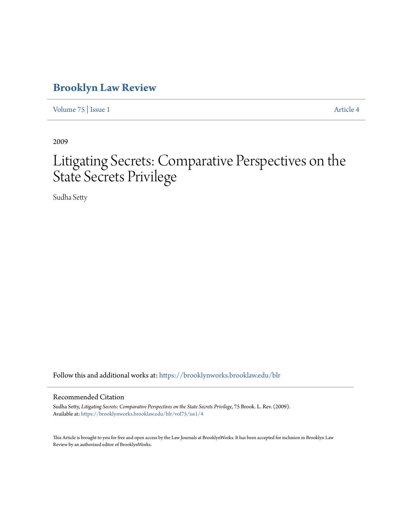# **[Brooklyn Law Review](https://brooklynworks.brooklaw.edu/blr?utm_source=brooklynworks.brooklaw.edu%2Fblr%2Fvol75%2Fiss1%2F4&utm_medium=PDF&utm_campaign=PDFCoverPages)**

[Volume 75](https://brooklynworks.brooklaw.edu/blr/vol75?utm_source=brooklynworks.brooklaw.edu%2Fblr%2Fvol75%2Fiss1%2F4&utm_medium=PDF&utm_campaign=PDFCoverPages) | [Issue 1](https://brooklynworks.brooklaw.edu/blr/vol75/iss1?utm_source=brooklynworks.brooklaw.edu%2Fblr%2Fvol75%2Fiss1%2F4&utm_medium=PDF&utm_campaign=PDFCoverPages) [Article 4](https://brooklynworks.brooklaw.edu/blr/vol75/iss1/4?utm_source=brooklynworks.brooklaw.edu%2Fblr%2Fvol75%2Fiss1%2F4&utm_medium=PDF&utm_campaign=PDFCoverPages)

2009

# Litigating Secrets: Comparative Perspectives on the State Secrets Privilege

Sudha Setty

Follow this and additional works at: [https://brooklynworks.brooklaw.edu/blr](https://brooklynworks.brooklaw.edu/blr?utm_source=brooklynworks.brooklaw.edu%2Fblr%2Fvol75%2Fiss1%2F4&utm_medium=PDF&utm_campaign=PDFCoverPages)

#### Recommended Citation

Sudha Setty, *Litigating Secrets: Comparative Perspectives on the State Secrets Privilege*, 75 Brook. L. Rev. (2009). Available at: [https://brooklynworks.brooklaw.edu/blr/vol75/iss1/4](https://brooklynworks.brooklaw.edu/blr/vol75/iss1/4?utm_source=brooklynworks.brooklaw.edu%2Fblr%2Fvol75%2Fiss1%2F4&utm_medium=PDF&utm_campaign=PDFCoverPages)

This Article is brought to you for free and open access by the Law Journals at BrooklynWorks. It has been accepted for inclusion in Brooklyn Law Review by an authorized editor of BrooklynWorks.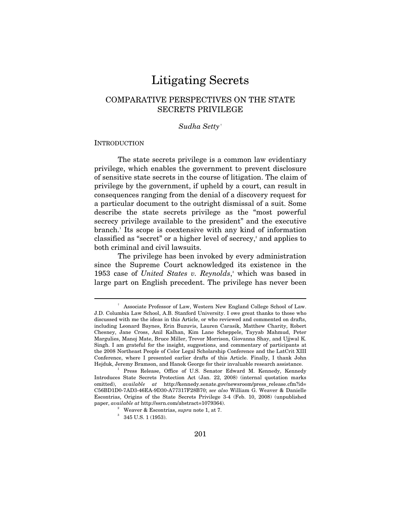# Litigating Secrets

# COMPARATIVE PERSPECTIVES ON THE STATE SECRETS PRIVILEGE

## *Sudha Setty* †

#### **INTRODUCTION**

 $\overline{a}$ 

The state secrets privilege is a common law evidentiary privilege, which enables the government to prevent disclosure of sensitive state secrets in the course of litigation. The claim of privilege by the government, if upheld by a court, can result in consequences ranging from the denial of a discovery request for a particular document to the outright dismissal of a suit. Some describe the state secrets privilege as the "most powerful secrecy privilege available to the president" and the executive branch.<sup>1</sup> Its scope is coextensive with any kind of information classified as "secret" or a higher level of secrecy,<sup>2</sup> and applies to both criminal and civil lawsuits.

The privilege has been invoked by every administration since the Supreme Court acknowledged its existence in the 1953 case of *United States v. Reynolds*,<sup>3</sup> which was based in large part on English precedent. The privilege has never been

 <sup>†</sup> Associate Professor of Law, Western New England College School of Law. J.D. Columbia Law School, A.B. Stanford University. I owe great thanks to those who discussed with me the ideas in this Article, or who reviewed and commented on drafts, including Leonard Baynes, Erin Buzuvis, Lauren Carasik, Matthew Charity, Robert Chesney, Jane Cross, Anil Kalhan, Kim Lane Scheppele, Tayyab Mahmud, Peter Margulies, Manoj Mate, Bruce Miller, Trevor Morrison, Giovanna Shay, and Ujjwal K. Singh. I am grateful for the insight, suggestions, and commentary of participants at the 2008 Northeast People of Color Legal Scholarship Conference and the LatCrit XIII Conference, where I presented earlier drafts of this Article. Finally, I thank John Hejduk, Jeremy Bramson, and Hanok George for their invaluable research assistance. 1

Press Release, Office of U.S. Senator Edward M. Kennedy, Kennedy Introduces State Secrets Protection Act (Jan. 22, 2008) (internal quotation marks omitted), *available at* http://kennedy.senate.gov/newsroom/press\_release.cfm?id= C56BD1D0-7AD3-46EA-9D30-A77317F28B70; *see also* William G. Weaver & Danielle Escontrias, Origins of the State Secrets Privilege 3-4 (Feb. 10, 2008) (unpublished paper, *available at* http://ssrn.com/abstract=1079364).

<sup>&</sup>lt;sup>2</sup> Weaver & Escontrias, *supra* note 1, at 7.

 $^3$  345 U.S. 1 (1953).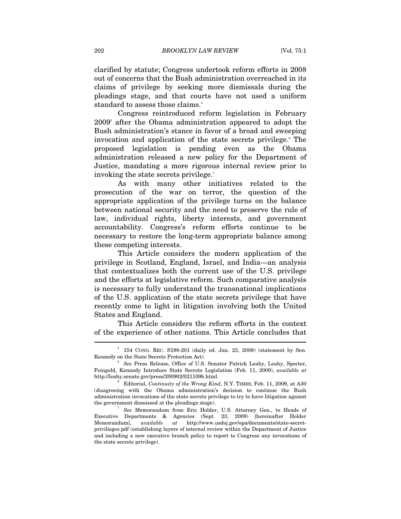clarified by statute; Congress undertook reform efforts in 2008 out of concerns that the Bush administration overreached in its claims of privilege by seeking more dismissals during the pleadings stage, and that courts have not used a uniform standard to assess those claims.<sup>4</sup>

Congress reintroduced reform legislation in February 20095 after the Obama administration appeared to adopt the Bush administration's stance in favor of a broad and sweeping invocation and application of the state secrets privilege.<sup>6</sup> The proposed legislation is pending even as the Obama administration released a new policy for the Department of Justice, mandating a more rigorous internal review prior to invoking the state secrets privilege.<sup>7</sup>

As with many other initiatives related to the prosecution of the war on terror, the question of the appropriate application of the privilege turns on the balance between national security and the need to preserve the rule of law, individual rights, liberty interests, and government accountability. Congress's reform efforts continue to be necessary to restore the long-term appropriate balance among these competing interests.

This Article considers the modern application of the privilege in Scotland, England, Israel, and India—an analysis that contextualizes both the current use of the U.S. privilege and the efforts at legislative reform. Such comparative analysis is necessary to fully understand the transnational implications of the U.S. application of the state secrets privilege that have recently come to light in litigation involving both the United States and England.

This Article considers the reform efforts in the context of the experience of other nations. This Article concludes that  $\overline{a}$ 

 $4$  154 CONG. REC. S198-201 (daily ed. Jan. 23, 2008) (statement by Sen. Kennedy on the State Secrets Protection Act).

*See* Press Release, Office of U.S. Senator Patrick Leahy, Leahy, Specter, Feingold, Kennedy Introduce State Secrets Legislation (Feb. 11, 2009), *available at*  http://leahy.senate.gov/press/200902/021109b.html. 6

Editorial, *Continuity of the Wrong Kind*, N.Y. TIMES, Feb. 11, 2009, at A30 (disagreeing with the Obama administration's decision to continue the Bush administration invocations of the state secrets privilege to try to have litigation against the government dismissed at the pleadings stage).

*See* Memorandum from Eric Holder, U.S. Attorney Gen., to Heads of Executive Departments & Agencies (Sept. 23, 2009) [hereinafter Holder Memorandum], *available at* http://www.usdoj.gov/opa/documents/state-secretprivilieges.pdf (establishing layers of internal review within the Department of Justice and including a new executive branch policy to report to Congress any invocations of the state secrets privilege).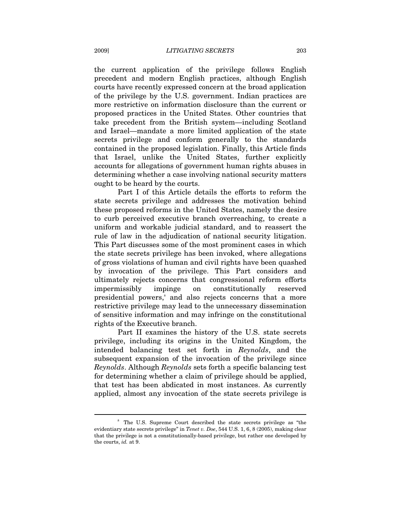the current application of the privilege follows English precedent and modern English practices, although English courts have recently expressed concern at the broad application of the privilege by the U.S. government. Indian practices are more restrictive on information disclosure than the current or proposed practices in the United States. Other countries that take precedent from the British system—including Scotland and Israel—mandate a more limited application of the state secrets privilege and conform generally to the standards contained in the proposed legislation. Finally, this Article finds that Israel, unlike the United States, further explicitly accounts for allegations of government human rights abuses in determining whether a case involving national security matters ought to be heard by the courts.

Part I of this Article details the efforts to reform the state secrets privilege and addresses the motivation behind these proposed reforms in the United States, namely the desire to curb perceived executive branch overreaching, to create a uniform and workable judicial standard, and to reassert the rule of law in the adjudication of national security litigation. This Part discusses some of the most prominent cases in which the state secrets privilege has been invoked, where allegations of gross violations of human and civil rights have been quashed by invocation of the privilege. This Part considers and ultimately rejects concerns that congressional reform efforts impermissibly impinge on constitutionally reserved presidential powers,<sup>®</sup> and also rejects concerns that a more restrictive privilege may lead to the unnecessary dissemination of sensitive information and may infringe on the constitutional rights of the Executive branch.

Part II examines the history of the U.S. state secrets privilege, including its origins in the United Kingdom, the intended balancing test set forth in *Reynolds*, and the subsequent expansion of the invocation of the privilege since *Reynolds*. Although *Reynolds* sets forth a specific balancing test for determining whether a claim of privilege should be applied, that test has been abdicated in most instances. As currently applied, almost any invocation of the state secrets privilege is

<sup>&</sup>lt;sup>8</sup> The U.S. Supreme Court described the state secrets privilege as "the evidentiary state secrets privilege" in *Tenet v. Doe*, 544 U.S. 1, 6, 8 (2005), making clear that the privilege is not a constitutionally-based privilege, but rather one developed by the courts, *id.* at 9.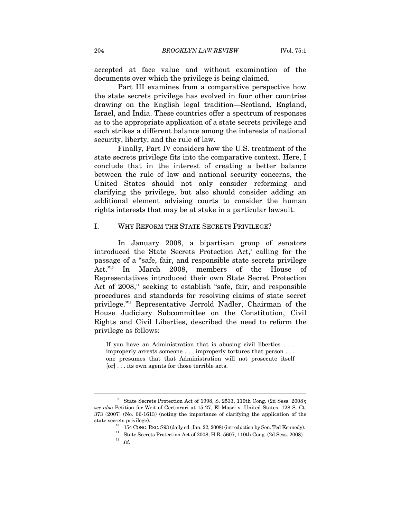accepted at face value and without examination of the documents over which the privilege is being claimed.

Part III examines from a comparative perspective how the state secrets privilege has evolved in four other countries drawing on the English legal tradition—Scotland, England, Israel, and India. These countries offer a spectrum of responses as to the appropriate application of a state secrets privilege and each strikes a different balance among the interests of national security, liberty, and the rule of law.

Finally, Part IV considers how the U.S. treatment of the state secrets privilege fits into the comparative context. Here, I conclude that in the interest of creating a better balance between the rule of law and national security concerns, the United States should not only consider reforming and clarifying the privilege, but also should consider adding an additional element advising courts to consider the human rights interests that may be at stake in a particular lawsuit.

#### I. WHY REFORM THE STATE SECRETS PRIVILEGE?

In January 2008, a bipartisan group of senators introduced the State Secrets Protection Act,<sup>®</sup> calling for the passage of a "safe, fair, and responsible state secrets privilege Act."<sup>10</sup> In March 2008, members of the House of Representatives introduced their own State Secret Protection Act of  $2008$ ,<sup>11</sup> seeking to establish "safe, fair, and responsible procedures and standards for resolving claims of state secret privilege."12 Representative Jerrold Nadler, Chairman of the House Judiciary Subcommittee on the Constitution, Civil Rights and Civil Liberties, described the need to reform the privilege as follows:

If you have an Administration that is abusing civil liberties . . . improperly arrests someone . . . improperly tortures that person . . . one presumes that that Administration will not prosecute itself [or] . . . its own agents for those terrible acts.

<sup>12</sup> *Id.*

<sup>9</sup> State Secrets Protection Act of 1998, S. 2533, 110th Cong. (2d Sess. 2008); *see also* Petition for Writ of Certiorari at 15-27, El-Masri v. United States, 128 S. Ct. 373 (2007) (No. 06-1613) (noting the importance of clarifying the application of the % state secrets privilege). 10 154 CONG. REC. S93 (daily ed. Jan. 22, 2008) (introduction by Sen. Ted Kennedy). 11 State Secrets Protection Act of 2008, H.R. 5607, 110th Cong. (2d Sess. 2008).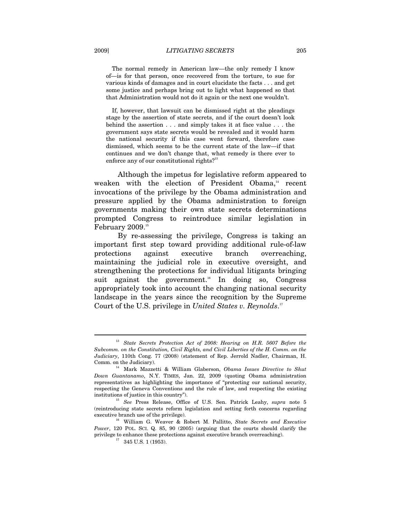The normal remedy in American law—the only remedy I know of—is for that person, once recovered from the torture, to sue for various kinds of damages and in court elucidate the facts . . . and get some justice and perhaps bring out to light what happened so that that Administration would not do it again or the next one wouldn't.

 If, however, that lawsuit can be dismissed right at the pleadings stage by the assertion of state secrets, and if the court doesn't look behind the assertion . . . and simply takes it at face value . . . the government says state secrets would be revealed and it would harm the national security if this case went forward, therefore case dismissed, which seems to be the current state of the law—if that continues and we don't change that, what remedy is there ever to enforce any of our constitutional rights? $13$ 

Although the impetus for legislative reform appeared to weaken with the election of President Obama,<sup>14</sup> recent invocations of the privilege by the Obama administration and pressure applied by the Obama administration to foreign governments making their own state secrets determinations prompted Congress to reintroduce similar legislation in February 2009.<sup>15</sup>

By re-assessing the privilege, Congress is taking an important first step toward providing additional rule-of-law protections against executive branch overreaching, maintaining the judicial role in executive oversight, and strengthening the protections for individual litigants bringing suit against the government.<sup>16</sup> In doing so, Congress appropriately took into account the changing national security landscape in the years since the recognition by the Supreme Court of the U.S. privilege in *United States v. Reynolds*. 17

<sup>&</sup>lt;sup>13</sup> *State Secrets Protection Act of 2008: Hearing on H.R. 5607 Before the Subcomm. on the Constitution, Civil Rights, and Civil Liberties of the H. Comm. on the Judiciary*, 110th Cong. 77 (2008) (statement of Rep. Jerrold Nadler, Chairman, H.

<sup>&</sup>lt;sup>14</sup> Mark Mazzetti & William Glaberson, *Obama Issues Directive to Shut Down Guantanamo*, N.Y. TIMES, Jan. 22, 2009 (quoting Obama administration representatives as highlighting the importance of "protecting our national security, respecting the Geneva Conventions and the rule of law, and respecting the existing institutions of justice in this country"). 15 *See* Press Release, Office of U.S. Sen. Patrick Leahy, *supra* note 5

<sup>(</sup>reintroducing state secrets reform legislation and setting forth concerns regarding executive branch use of the privilege). 16 William G. Weaver & Robert M. Pallitto, *State Secrets and Executive* 

*Power*, 120 POL. SCI. Q. 85, 90 (2005) (arguing that the courts should clarify the privilege to enhance these protections against executive branch overreaching).  $^{17}\,$  345 U.S. 1 (1953).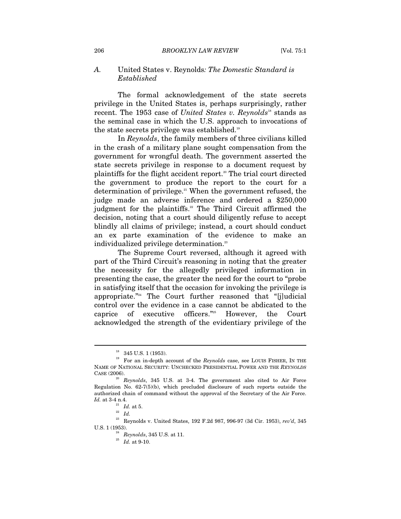#### *A.* United States v. Reynolds*: The Domestic Standard is Established*

The formal acknowledgement of the state secrets privilege in the United States is, perhaps surprisingly, rather recent. The 1953 case of *United States v. Reynolds*<sup>18</sup> stands as the seminal case in which the U.S. approach to invocations of the state secrets privilege was established.19

In *Reynolds*, the family members of three civilians killed in the crash of a military plane sought compensation from the government for wrongful death. The government asserted the state secrets privilege in response to a document request by plaintiffs for the flight accident report.<sup>20</sup> The trial court directed the government to produce the report to the court for a determination of privilege.<sup>21</sup> When the government refused, the judge made an adverse inference and ordered a \$250,000 judgment for the plaintiffs.<sup>22</sup> The Third Circuit affirmed the decision, noting that a court should diligently refuse to accept blindly all claims of privilege; instead, a court should conduct an ex parte examination of the evidence to make an individualized privilege determination.<sup>23</sup>

The Supreme Court reversed, although it agreed with part of the Third Circuit's reasoning in noting that the greater the necessity for the allegedly privileged information in presenting the case, the greater the need for the court to "probe in satisfying itself that the occasion for invoking the privilege is appropriate."24 The Court further reasoned that "[j]udicial control over the evidence in a case cannot be abdicated to the caprice of executive officers."25 However, the Court acknowledged the strength of the evidentiary privilege of the

 $\overline{a}$ 

 $^{\rm 23}$  Reynolds v. United States, 192 F.2d 987, 996-97 (3d Cir. 1953),  $rev'd,$  345 U.S. 1 (1953). 24 *Reynolds*, 345 U.S. at 11. 25 *Id.* at 9-10.

 $^{18}\;$  345 U.S. 1 (1953).

<sup>&</sup>lt;sup>19</sup> For an in-depth account of the *Reynolds* case, see LOUIS FISHER, IN THE NAME OF NATIONAL SECURITY: UNCHECKED PRESIDENTIAL POWER AND THE *REYNOLDS* CASE (2006). 20 *Reynolds*, 345 U.S. at 3-4. The government also cited to Air Force

Regulation No. 62-7(5)(b), which precluded disclosure of such reports outside the authorized chain of command without the approval of the Secretary of the Air Force. *Id.* at 3-4 n.4.<br>
<sup>21</sup> *Id.* at 5.<br>
<sup>22</sup> *Id.*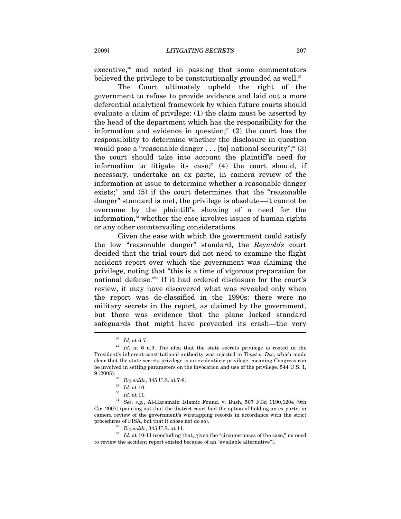executive, $26$  and noted in passing that some commentators believed the privilege to be constitutionally grounded as well. $^{27}$ 

The Court ultimately upheld the right of the government to refuse to provide evidence and laid out a more deferential analytical framework by which future courts should evaluate a claim of privilege: (1) the claim must be asserted by the head of the department which has the responsibility for the information and evidence in question;<sup>28</sup> (2) the court has the responsibility to determine whether the disclosure in question would pose a "reasonable danger  $\dots$  [to] national security";  $(3)$ the court should take into account the plaintiff's need for information to litigate its case;<sup>30</sup> (4) the court should, if necessary, undertake an ex parte, in camera review of the information at issue to determine whether a reasonable danger exists; $31$  and (5) if the court determines that the "reasonable" danger" standard is met, the privilege is absolute—it cannot be overcome by the plaintiff's showing of a need for the information,<sup>32</sup> whether the case involves issues of human rights or any other countervailing considerations.

Given the ease with which the government could satisfy the low "reasonable danger" standard, the *Reynolds* court decided that the trial court did not need to examine the flight accident report over which the government was claiming the privilege, noting that "this is a time of vigorous preparation for national defense."33 If it had ordered disclosure for the court's review, it may have discovered what was revealed only when the report was de-classified in the 1990s: there were no military secrets in the report, as claimed by the government, but there was evidence that the plane lacked standard safeguards that might have prevented its crash—the very  $\overline{\phantom{a}}$ 

 $\frac{26}{27}$  *Id.* at 6-7. 27 *Id.* at 6 n.9. The idea that the state secrets privilege is rooted in the President's inherent constitutional authority was rejected in *Tenet v. Doe*, which made clear that the state secrets privilege is an evidentiary privilege, meaning Congress can be involved in setting parameters on the invocation and use of the privilege.  $544$  U.S. 1,  $9$  (2005).

<sup>&</sup>lt;sup>28</sup> Reynolds, 345 U.S. at 7-8.<br><sup>29</sup> Id. at 10.<br><sup>30</sup> Id. at 11.<br><sup>31</sup> *See, e.g.*, Al-Haramain Islamic Found. v. Bush, 507 F.3d 1190,1204 (9th Cir. 2007) (pointing out that the district court had the option of holding an ex parte, in camera review of the government's wiretapping records in accordance with the strict

procedures of FISA, but that it chose not do so). <br><sup>32</sup> *Reynolds*, 345 U.S. at 11. *Id.* at 10-11 (concluding that, given the "circumstances of the case," no need to review the accident report existed because of an "available alternative").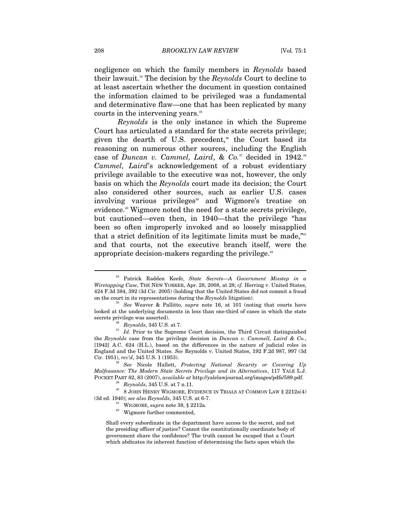negligence on which the family members in *Reynolds* based their lawsuit.34 The decision by the *Reynolds* Court to decline to at least ascertain whether the document in question contained the information claimed to be privileged was a fundamental and determinative flaw—one that has been replicated by many courts in the intervening years.<sup>35</sup>

*Reynolds* is the only instance in which the Supreme Court has articulated a standard for the state secrets privilege; given the dearth of U.S. precedent,<sup>36</sup> the Court based its reasoning on numerous other sources, including the English case of *Duncan v. Cammel, Laird, & Co.*<sup>37</sup> decided in 1942.<sup>38</sup> *Cammel, Laird*'s acknowledgement of a robust evidentiary privilege available to the executive was not, however, the only basis on which the *Reynolds* court made its decision; the Court also considered other sources, such as earlier U.S. cases involving various privileges<sup>39</sup> and Wigmore's treatise on evidence.<sup>40</sup> Wigmore noted the need for a state secrets privilege, but cautioned—even then, in 1940—that the privilege "has been so often improperly invoked and so loosely misapplied that a strict definition of its legitimate limits must be made,"41 and that courts, not the executive branch itself, were the appropriate decision-makers regarding the privilege.<sup>42</sup>

<sup>34</sup> Patrick Radden Keefe, *State Secrets—A Government Misstep in a Wiretapping Case*, THE NEW YORKER, Apr. 28, 2008, at 28; *cf.* Herring v. United States, 424 F.3d 384, 392 (3d Cir. 2005) (holding that the United States did not commit a fraud on the court in its representations during the *Reynolds* litigation). 35 *See* Weaver & Pallitto, *supra* note 16, at 101 (noting that courts have

looked at the underlying documents in less than one-third of cases in which the state

secrets privilege was asserted).<br><sup>36</sup> *Reynolds*, 345 U.S. at 7.<br><sup>37</sup> *Id.* Prior to the Supreme Court decision, the Third Circuit distinguished the *Reynolds* case from the privilege decision in *Duncan v. Cammell, Laird & Co.*, [1942] A.C. 624 (H.L.), based on the differences in the nature of judicial roles in England and the United States. *See* Reynolds v. United States, 192 F.2d 987, 997 (3d Cir. 1951), *rev'd*, 345 U.S. 1 (1953). 38 *See* Nicole Hallett, *Protecting National Security or Covering Up* 

*Malfeasance: The Modern State Secrets Privilege and its Alternatives*, 117 YALE L.J.

<sup>&</sup>lt;sup>39</sup> Reynolds, 345 U.S. at 7 n.11.<br><sup>40</sup> 8 JOHN HENRY WIGMORE, EVIDENCE IN TRIALS AT COMMON LAW § 2212a(4) (3d ed. 1940); *see also Reynolds*, 345 U.S. at 6-7.

<sup>&</sup>lt;sup>41</sup> WIGMORE, *supra* note 38, § 2212a.<br><sup>42</sup> Wigmore further commented,

Shall every subordinate in the department have access to the secret, and not the presiding officer of justice? Cannot the constitutionally coordinate body of government share the confidence? The truth cannot be escaped that a Court which abdicates its inherent function of determining the facts upon which the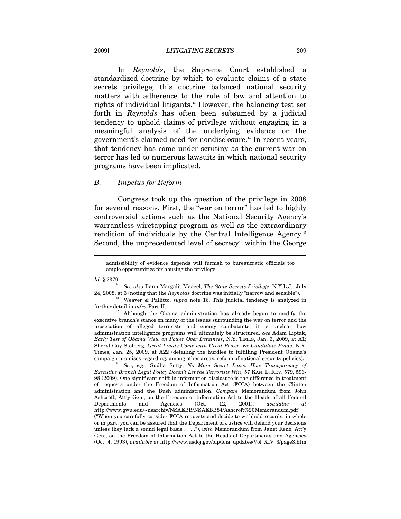#### 2009] *LITIGATING SECRETS* 209

In *Reynolds*, the Supreme Court established a standardized doctrine by which to evaluate claims of a state secrets privilege; this doctrine balanced national security matters with adherence to the rule of law and attention to rights of individual litigants.<sup>43</sup> However, the balancing test set forth in *Reynolds* has often been subsumed by a judicial tendency to uphold claims of privilege without engaging in a meaningful analysis of the underlying evidence or the government's claimed need for nondisclosure.<sup>44</sup> In recent years, that tendency has come under scrutiny as the current war on terror has led to numerous lawsuits in which national security programs have been implicated.

#### *B. Impetus for Reform*

Congress took up the question of the privilege in 2008 for several reasons. First, the "war on terror" has led to highly controversial actions such as the National Security Agency's warrantless wiretapping program as well as the extraordinary rendition of individuals by the Central Intelligence Agency.<sup>45</sup> Second, the unprecedented level of secrecy<sup>46</sup> within the George

 $\overline{a}$ 

*Id.* § 2379. 43 *See also* Ilann Margalit Maazel, *The State Secrets Privilege*, N.Y.L.J., July

<sup>44</sup> Weaver & Pallitto, *supra* note 16. This judicial tendency is analyzed in further detail in *infra* Part II.

<sup>5</sup> Although the Obama administration has already begun to modify the executive branch's stance on many of the issues surrounding the war on terror and the prosecution of alleged terrorists and enemy combatants, it is unclear how administration intelligence programs will ultimately be structured. *See* Adam Liptak, *Early Test of Obama View on Power Over Detainees*, N.Y. TIMES, Jan. 3, 2009, at A1; Sheryl Gay Stolberg, *Great Limits Come with Great Power, Ex-Candidate Finds*, N.Y. Times, Jan. 25, 2009, at A22 (detailing the hurdles to fulfilling President Obama's campaign promises regarding, among other areas, reform of national security policies). 46 *See*, *e.g.*, Sudha Setty, *No More Secret Laws: How Transparency of* 

*Executive Branch Legal Policy Doesn't Let the Terrorists Win*, 57 KAN. L. REV. 579, 596- 98 (2009). One significant shift in information disclosure is the difference in treatment of requests under the Freedom of Information Act (FOIA) between the Clinton administration and the Bush administration. *Compare* Memorandum from John Ashcroft, Att'y Gen., on the Freedom of Information Act to the Heads of all Federal Departments and Agencies (Oct. 12, 2001), *available at* http://www.gwu.edu/~nsarchiv/NSAEBB/NSAEBB84/Ashcroft%20Memorandum.pdf ("When you carefully consider FOIA requests and decide to withhold records, in whole or in part, you can be assured that the Department of Justice will defend your decisions unless they lack a sound legal basis . . . ."), *with* Memorandum from Janet Reno, Att'y Gen., on the Freedom of Information Act to the Heads of Departments and Agencies (Oct. 4, 1993), *available at* http://www.usdoj.gov/oip/foia\_updates/Vol\_XIV\_3/page3.htm

admissibility of evidence depends will furnish to bureaucratic officials too ample opportunities for abusing the privilege.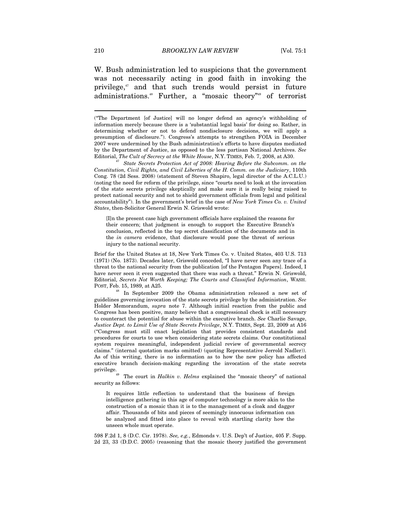W. Bush administration led to suspicions that the government was not necessarily acting in good faith in invoking the privilege,47 and that such trends would persist in future administrations.<sup>48</sup> Further, a "mosaic theory"<sup>49</sup> of terrorist

*Constitution, Civil Rights, and Civil Liberties of the H. Comm. on the Judiciary*, 110th Cong. 78 (2d Sess. 2008) (statement of Steven Shapiro, legal director of the A.C.L.U.) (noting the need for reform of the privilege, since "courts need to look at the invocation of the state secrets privilege skeptically and make sure it is really being raised to protect national security and not to shield government officials from legal and political accountability"). In the government's brief in the case of *New York Times Co. v. United States*, then-Solicitor General Erwin N. Griswold wrote:

[I]n the present case high government officials have explained the reasons for their concern; that judgment is enough to support the Executive Branch's conclusion, reflected in the top secret classification of the documents and in the *in camera* evidence, that disclosure would pose the threat of serious injury to the national security.

Brief for the United States at 18, New York Times Co. v. United States, 403 U.S. 713 (1971) (No. 1873). Decades later, Griswold conceded, "I have never seen any trace of a threat to the national security from the publication [of the Pentagon Papers]. Indeed, I have never seen it even suggested that there was such a threat." Erwin N. Griswold, Editorial, *Secrets Not Worth Keeping; The Courts and Classified Information*, WASH. POST, Feb. 15, 1989, at A25.<br><sup>48</sup> In September 2009 the Obama administration released a new set of

guidelines governing invocation of the state secrets privilege by the administration. *See*  Holder Memorandum, *supra* note 7. Although initial reaction from the public and Congress has been positive, many believe that a congressional check is still necessary to counteract the potential for abuse within the executive branch. *See* Charlie Savage, *Justice Dept. to Limit Use of State Secrets Privilege*, N.Y. TIMES, Sept. 23, 2009 at A16 ("Congress must still enact legislation that provides consistent standards and procedures for courts to use when considering state secrets claims. Our constitutional system requires meaningful, independent judicial review of governmental secrecy claims." (internal quotation marks omitted) (quoting Representative Jerrold Nadler)). As of this writing, there is no information as to how the new policy has affected executive branch decision-making regarding the invocation of the state secrets

privilege. 49 The court in *Halkin v. Helms* explained the "mosaic theory" of national security as follows:

It requires little reflection to understand that the business of foreign intelligence gathering in this age of computer technology is more akin to the construction of a mosaic than it is to the management of a cloak and dagger affair. Thousands of bits and pieces of seemingly innocuous information can be analyzed and fitted into place to reveal with startling clarity how the unseen whole must operate.

598 F.2d 1, 8 (D.C. Cir. 1978). *See, e.g.*, Edmonds v. U.S. Dep't of Justice, 405 F. Supp. 2d 23, 33 (D.D.C. 2005) (reasoning that the mosaic theory justified the government

<sup>(&</sup>quot;The Department [of Justice] will no longer defend an agency's withholding of information merely because there is a 'substantial legal basis' for doing so. Rather, in determining whether or not to defend nondisclosure decisions, we will apply a presumption of disclosure."). Congress's attempts to strengthen FOIA in December 2007 were undermined by the Bush administration's efforts to have disputes mediated by the Department of Justice, as opposed to the less partisan National Archives. *See* Editorial, *The Cult of Secrecy at the White House*, N.Y. TIMES, Feb. 7, 2008, at A30.<br><sup>47</sup> *State Secrets Protection Act of 2008: Hearing Before the Subcomm. on the*  $\frac{1}{2}$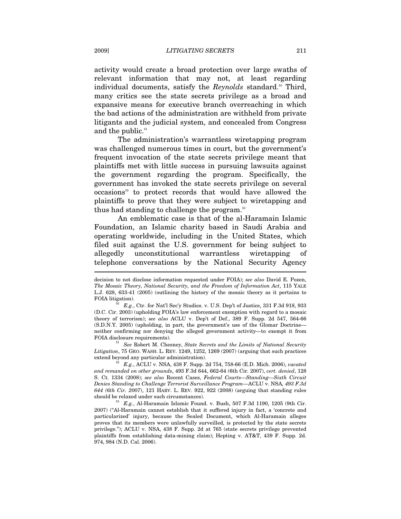activity would create a broad protection over large swaths of relevant information that may not, at least regarding individual documents, satisfy the *Reynolds* standard.<sup>50</sup> Third, many critics see the state secrets privilege as a broad and expansive means for executive branch overreaching in which the bad actions of the administration are withheld from private litigants and the judicial system, and concealed from Congress and the public.<sup>51</sup>

The administration's warrantless wiretapping program was challenged numerous times in court, but the government's frequent invocation of the state secrets privilege meant that plaintiffs met with little success in pursuing lawsuits against the government regarding the program. Specifically, the government has invoked the state secrets privilege on several  $occasions^{\omega}$  to protect records that would have allowed the plaintiffs to prove that they were subject to wiretapping and thus had standing to challenge the program.<sup>53</sup>

An emblematic case is that of the al-Haramain Islamic Foundation, an Islamic charity based in Saudi Arabia and operating worldwide, including in the United States, which filed suit against the U.S. government for being subject to allegedly unconstitutional warrantless wiretapping of telephone conversations by the National Security Agency  $\overline{a}$ 

*Litigation*, 75 GEO. WASH. L. REV. 1249, 1252, 1269 (2007) (arguing that such practices extend beyond any particular administration). 52 *E.g.*, ACLU v. NSA, 438 F. Supp. 2d 754, 758-66 (E.D. Mich. 2006), *vacated* 

*and remanded on other grounds*, 493 F.3d 644, 662-64 (6th Cir. 2007), *cert. denied*, 128 S. Ct. 1334 (2008); *see also* Recent Cases, *Federal Courts—Standing—Sixth Circuit Denies Standing to Challenge Terrorist Surveillance Program—*ACLU v. NSA*, 493 F.3d 644 (6th Cir. 2007*), 121 HARV. L. REV. 922, 922 (2008) (arguing that standing rules should be relaxed under such circumstances). 53 *E.g.*, Al-Haramain Islamic Found. v. Bush, 507 F.3d 1190, 1205 (9th Cir.

2007) ("Al-Haramain cannot establish that it suffered injury in fact, a 'concrete and particularized' injury, because the Sealed Document, which Al-Haramain alleges proves that its members were unlawfully surveilled, is protected by the state secrets privilege."); ACLU v. NSA, 438 F. Supp. 2d at 765 (state secrets privilege prevented plaintiffs from establishing data-mining claim); Hepting v. AT&T, 439 F. Supp. 2d. 974, 984 (N.D. Cal. 2006).

decision to not disclose information requested under FOIA); *see also* David E. Pozen, *The Mosaic Theory, National Security, and the Freedom of Information Act*, 115 YALE L.J. 628, 633-41 (2005) (outlining the history of the mosaic theory as it pertains to FOIA litigation). 50 *E.g.*, Ctr. for Nat'l Sec'y Studies. v. U.S. Dep't of Justice, 331 F.3d 918, 933

<sup>(</sup>D.C. Cir. 2003) (upholding FOIA's law enforcement exemption with regard to a mosaic theory of terrorism); *see also* ACLU v. Dep't of Def., 389 F. Supp. 2d 547, 564-66 (S.D.N.Y. 2005) (upholding, in part, the government's use of the Glomar Doctrine neither confirming nor denying the alleged government activity—to exempt it from FOIA disclosure requirements). 51 *See* Robert M. Chesney, *State Secrets and the Limits of National Security*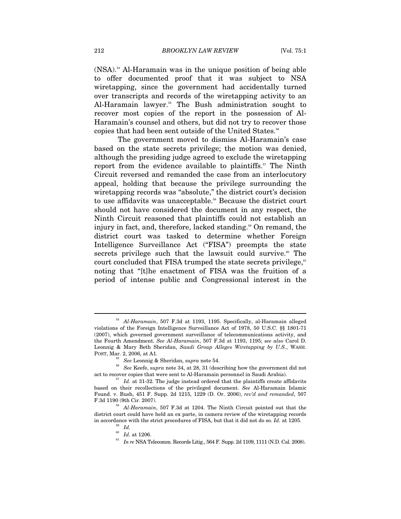$(NSA)$ <sup>54</sup> Al-Haramain was in the unique position of being able to offer documented proof that it was subject to NSA wiretapping, since the government had accidentally turned over transcripts and records of the wiretapping activity to an Al-Haramain lawyer.<sup>55</sup> The Bush administration sought to recover most copies of the report in the possession of Al-Haramain's counsel and others, but did not try to recover those copies that had been sent outside of the United States.<sup>56</sup>

The government moved to dismiss Al-Haramain's case based on the state secrets privilege; the motion was denied, although the presiding judge agreed to exclude the wiretapping report from the evidence available to plaintiffs.<sup>57</sup> The Ninth Circuit reversed and remanded the case from an interlocutory appeal, holding that because the privilege surrounding the wiretapping records was "absolute," the district court's decision to use affidavits was unacceptable.<sup>58</sup> Because the district court should not have considered the document in any respect, the Ninth Circuit reasoned that plaintiffs could not establish an injury in fact, and, therefore, lacked standing.<sup>59</sup> On remand, the district court was tasked to determine whether Foreign Intelligence Surveillance Act ("FISA") preempts the state secrets privilege such that the lawsuit could survive.<sup> $\circ$ </sup> The court concluded that FISA trumped the state secrets privilege, $61$ noting that "[t]he enactment of FISA was the fruition of a period of intense public and Congressional interest in the

<sup>54</sup> *Al-Haramain*, 507 F.3d at 1193, 1195. Specifically, al-Haramain alleged violations of the Foreign Intelligence Surveillance Act of 1978, 50 U.S.C. §§ 1801-71 (2007), which governed government surveillance of telecommunications activity, and the Fourth Amendment. *See Al-Haramain*, 507 F.3d at 1193, 1195; *see also* Carol D. Leonnig & Mary Beth Sheridan, *Saudi Group Alleges Wiretapping by U.S.*, WASH.

POST, Mar. 2, 2006, at A1. 55 *See* Leonnig & Sheridan, *supra* note 54. 56 *See* Keefe, *supra* note 34, at 28, 31 (describing how the government did not

 $\frac{57}{10}$  *Id.* at 31-32. The judge instead ordered that the plaintiffs create affidavits based on their recollections of the privileged document. *See* Al-Haramain Islamic Found. v. Bush, 451 F. Supp. 2d 1215, 1229 (D. Or. 2006), *rev'd and remanded*, 507

F.3d 1190 (9th Cir. 2007). 58 *Al-Haramain*, 507 F.3d at 1204. The Ninth Circuit pointed out that the district court could have held an ex parte, in camera review of the wiretapping records in accordance with the strict procedures of FISA, but that it did not do so. *Id.* at 1205.

 $\begin{array}{ll} 59 & Id. \\ 60 & Id. \end{array}$  at 1206.

 $^{61}\;$   $In$   $re$  NSA Telecomm. Records Litig., 564 F. Supp. 2d 1109, 1111 (N.D. Cal. 2008).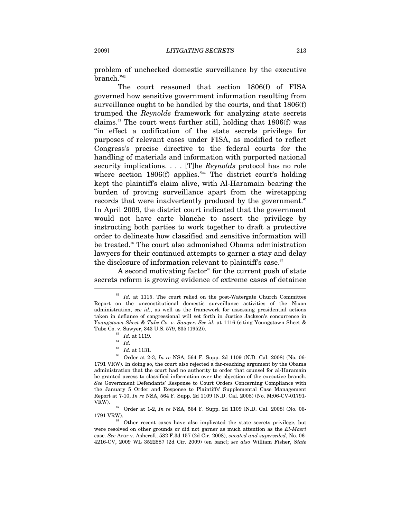problem of unchecked domestic surveillance by the executive branch."62

The court reasoned that section 1806(f) of FISA governed how sensitive government information resulting from surveillance ought to be handled by the courts, and that 1806(f) trumped the *Reynolds* framework for analyzing state secrets claims.<sup>63</sup> The court went further still, holding that  $1806(f)$  was "in effect a codification of the state secrets privilege for purposes of relevant cases under FISA, as modified to reflect Congress's precise directive to the federal courts for the handling of materials and information with purported national security implications. . . . [T]he *Reynolds* protocol has no role where section 1806(f) applies."<sup>64</sup> The district court's holding kept the plaintiff's claim alive, with Al-Haramain bearing the burden of proving surveillance apart from the wiretapping records that were inadvertently produced by the government.<sup>65</sup> In April 2009, the district court indicated that the government would not have carte blanche to assert the privilege by instructing both parties to work together to draft a protective order to delineate how classified and sensitive information will be treated.<sup>66</sup> The court also admonished Obama administration lawyers for their continued attempts to garner a stay and delay the disclosure of information relevant to plaintiff's case.<sup>67</sup>

A second motivating factor<sup>68</sup> for the current push of state secrets reform is growing evidence of extreme cases of detainee I

Order at 1-2, *In re* NSA, 564 F. Supp. 2d 1109 (N.D. Cal. 2008) (No. 06-1791 VRW).

68 Other recent cases have also implicated the state secrets privilege, but were resolved on other grounds or did not garner as much attention as the *El-Masri* case. *See* Arar v. Ashcroft, 532 F.3d 157 (2d Cir. 2008), *vacated and superseded*, No. 06- 4216-CV, 2009 WL 3522887 (2d Cir. 2009) (en banc); *see also* William Fisher, *State* 

 $62$  *Id.* at 1115. The court relied on the post-Watergate Church Committee Report on the unconstitutional domestic surveillance activities of the Nixon administration, *see id.*, as well as the framework for assessing presidential actions taken in defiance of congressional will set forth in Justice Jackson's concurrence in *Youngstown Sheet & Tube Co. v. Sawyer*. *See id.* at 1116 (citing Youngstown Sheet &

Tube Co. v. Sawyer, 343 U.S. 579, 635 (1952)).<br><sup>63</sup> *Id.* at 1119.<br><sup>64</sup> *Id.* at 1131.<br><sup>66</sup> Order at 2-3, *In re* NSA, 564 F. Supp. 2d 1109 (N.D. Cal. 2008) (No. 06-1791 VRW). In doing so, the court also rejected a far-reaching argument by the Obama administration that the court had no authority to order that counsel for al-Haramain be granted access to classified information over the objection of the executive branch. *See* Government Defendants' Response to Court Orders Concerning Compliance with the January 5 Order and Response to Plaintiffs' Supplemental Case Management Report at 7-10, *In re* NSA, 564 F. Supp. 2d 1109 (N.D. Cal. 2008) (No. M:06-CV-01791-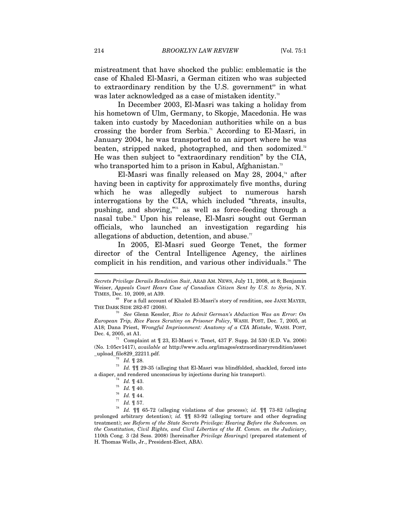mistreatment that have shocked the public: emblematic is the case of Khaled El-Masri, a German citizen who was subjected to extraordinary rendition by the U.S. government<sup>®</sup> in what was later acknowledged as a case of mistaken identity.<sup>70</sup>

In December 2003, El-Masri was taking a holiday from his hometown of Ulm, Germany, to Skopje, Macedonia. He was taken into custody by Macedonian authorities while on a bus crossing the border from Serbia.71 According to El-Masri, in January 2004, he was transported to an airport where he was beaten, stripped naked, photographed, and then sodomized.<sup>72</sup> He was then subject to "extraordinary rendition" by the CIA, who transported him to a prison in Kabul, Afghanistan.<sup>73</sup>

El-Masri was finally released on May 28, 2004, $4^4$  after having been in captivity for approximately five months, during which he was allegedly subject to numerous harsh interrogations by the CIA, which included "threats, insults, pushing, and shoving,"75 as well as force-feeding through a nasal tube.76 Upon his release, El-Masri sought out German officials, who launched an investigation regarding his allegations of abduction, detention, and abuse. $\pi$ 

In 2005, El-Masri sued George Tenet, the former director of the Central Intelligence Agency, the airlines complicit in his rendition, and various other individuals.<sup>78</sup> The

(No. 1:05cv1417), *available at* http://www.aclu.org/images/extraordinaryrendition/asset

<sup>72</sup> *Id.* ¶ 28. *Id.* ¶ 29-35 (alleging that El-Masri was blindfolded, shackled, forced into a diaper, and rendered unconscious by injections during his transport).

*Secrets Privilege Derails Rendition Suit*, ARAB AM. NEWS, July 11, 2008, at 8; Benjamin Weiser, *Appeals Court Hears Case of Canadian Citizen Sent by U.S. to Syria*, N.Y.

TIMES, Dec. 10, 2009, at A39.<br><sup>69</sup> For a full account of Khaled El-Masri's story of rendition, see JANE MAYER, THE DARK SIDE 282-87 (2008).

<sup>&</sup>lt;sup>70</sup> See Glenn Kessler, *Rice to Admit German's Abduction Was an Error: On European Trip, Rice Faces Scrutiny on Prisoner Policy*, WASH. POST, Dec. 7, 2005, at A18; Dana Priest, *Wrongful Imprisonment: Anatomy of a CIA Mistake*, WASH. POST, Dec. 4, 2005, at A1. 71 Complaint at ¶ 23, El-Masri v. Tenet, 437 F. Supp. 2d 530 (E.D. Va. 2006)

<sup>&</sup>lt;sup>74</sup> *Id.* ¶ 43.<br><sup>75</sup> *Id.* ¶ 40.<br><sup>76</sup> *Id.* ¶ 44.<br><sup>77</sup> *Id.* ¶ 57.<br><sup>78</sup> *Id.* ¶ 65-72 (alleging violations of due process); *id.* ¶¶ 73-82 (alleging prolonged arbitrary detention); *id.* ¶¶ 83-92 (alleging torture and other degrading treatment); *see Reform of the State Secrets Privilege: Hearing Before the Subcomm. on the Constitution, Civil Rights, and Civil Liberties of the H. Comm. on the Judiciary*, 110th Cong. 3 (2d Sess. 2008) [hereinafter *Privilege Hearings*] (prepared statement of H. Thomas Wells, Jr., President-Elect, ABA).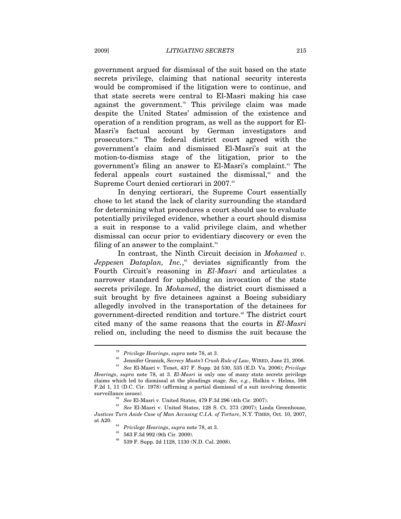government argued for dismissal of the suit based on the state secrets privilege, claiming that national security interests would be compromised if the litigation were to continue, and that state secrets were central to El-Masri making his case against the government.<sup>79</sup> This privilege claim was made despite the United States' admission of the existence and operation of a rendition program, as well as the support for El-Masri's factual account by German investigators and prosecutors.80 The federal district court agreed with the government's claim and dismissed El-Masri's suit at the motion-to-dismiss stage of the litigation, prior to the government's filing an answer to El-Masri's complaint.<sup>81</sup> The federal appeals court sustained the dismissal, $^{82}$  and the Supreme Court denied certiorari in 2007.<sup>83</sup>

In denying certiorari, the Supreme Court essentially chose to let stand the lack of clarity surrounding the standard for determining what procedures a court should use to evaluate potentially privileged evidence, whether a court should dismiss a suit in response to a valid privilege claim, and whether dismissal can occur prior to evidentiary discovery or even the filing of an answer to the complaint. $84$ 

In contrast, the Ninth Circuit decision in *Mohamed v. Jeppesen Dataplan, Inc.*, 85 deviates significantly from the Fourth Circuit's reasoning in *El-Masri* and articulates a narrower standard for upholding an invocation of the state secrets privilege. In *Mohamed*, the district court dismissed a suit brought by five detainees against a Boeing subsidiary allegedly involved in the transportation of the detainees for government-directed rendition and torture.<sup>86</sup> The district court cited many of the same reasons that the courts in *El-Masri* relied on, including the need to dismiss the suit because the

<sup>&</sup>lt;sup>79</sup> Privilege Hearings, supra note 78, at 3.<br><sup>80</sup> Jennifer Granick, *Secrecy Mustn't Crush Rule of Law*, WIRED, June 21, 2006.<br><sup>81</sup> *See El-Masri v. Tenet, 437 F. Supp. 2d 530, 535 (E.D. Va. 2006); Privilege Hearings*, *supra* note 78, at 3. *El-Masri* is only one of many state secrets privilege claims which led to dismissal at the pleadings stage. *See, e.g.*, Halkin v. Helms, 598 F.2d 1, 11 (D.C. Cir. 1978) (affirming a partial dismissal of a suit involving domestic

<sup>&</sup>lt;sup>82</sup> See El-Masri v. United States, 479 F.3d 296 (4th Cir. 2007).<br><sup>83</sup> See El-Masri v. United States, 128 S. Ct. 373 (2007); Linda Greenhouse, *Justices Turn Aside Case of Man Accusing C.I.A. of Torture*, N.Y. TIMES, Oct. 10, 2007, at A20. 84 *Privilege Hearings*, *supra* note 78, at 3. 85 563 F.3d 992 (9th Cir. 2009).

<sup>86</sup> 539 F. Supp. 2d 1128, 1130 (N.D. Cal. 2008).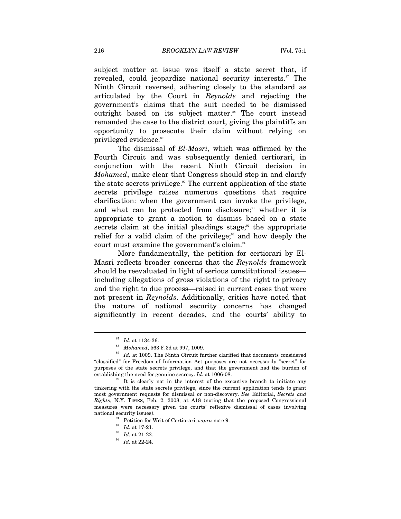subject matter at issue was itself a state secret that, if revealed, could jeopardize national security interests.<sup>87</sup> The Ninth Circuit reversed, adhering closely to the standard as articulated by the Court in *Reynolds* and rejecting the government's claims that the suit needed to be dismissed outright based on its subject matter.<sup>88</sup> The court instead remanded the case to the district court, giving the plaintiffs an opportunity to prosecute their claim without relying on privileged evidence.<sup>89</sup>

The dismissal of *El-Masri*, which was affirmed by the Fourth Circuit and was subsequently denied certiorari, in conjunction with the recent Ninth Circuit decision in *Mohamed*, make clear that Congress should step in and clarify the state secrets privilege.<sup>90</sup> The current application of the state secrets privilege raises numerous questions that require clarification: when the government can invoke the privilege, and what can be protected from disclosure; $91$  whether it is appropriate to grant a motion to dismiss based on a state secrets claim at the initial pleadings stage; $\alpha$ <sup>2</sup> the appropriate relief for a valid claim of the privilege;<sup>33</sup> and how deeply the court must examine the government's claim.<sup>94</sup>

More fundamentally, the petition for certiorari by El-Masri reflects broader concerns that the *Reynolds* framework should be reevaluated in light of serious constitutional issues including allegations of gross violations of the right to privacy and the right to due process—raised in current cases that were not present in *Reynolds*. Additionally, critics have noted that the nature of national security concerns has changed significantly in recent decades, and the courts' ability to

<sup>&</sup>lt;sup>87</sup> Id. at 1134-36.<br><sup>88</sup> Mohamed, 563 F.3d at 997, 1009.<br><sup>89</sup> Id. at 1009. The Ninth Circuit further clarified that documents considered "classified" for Freedom of Information Act purposes are not necessarily "secret" for purposes of the state secrets privilege, and that the government had the burden of establishing the need for genuine secrecy.  $Id$  at 1006-08.

<sup>&</sup>lt;sup>90</sup> It is clearly not in the interest of the executive branch to initiate any tinkering with the state secrets privilege, since the current application tends to grant most government requests for dismissal or non-discovery. *See* Editorial, *Secrets and Rights*, N.Y. TIMES, Feb. 2, 2008, at A18 (noting that the proposed Congressional measures were necessary given the courts' reflexive dismissal of cases involving national security issues).<br><sup>91</sup> Petition for Writ of Certiorari, *supra* note 9.<br><sup>92</sup> *Id.* at 17-21.<br><sup>93</sup> *Id.* at 21-22.<br>*Id.* at 22-24.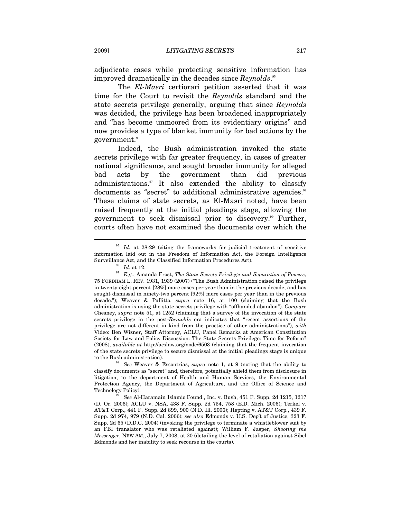adjudicate cases while protecting sensitive information has improved dramatically in the decades since *Reynolds*. 95

The *El-Masri* certiorari petition asserted that it was time for the Court to revisit the *Reynolds* standard and the state secrets privilege generally, arguing that since *Reynolds* was decided, the privilege has been broadened inappropriately and "has become unmoored from its evidentiary origins" and now provides a type of blanket immunity for bad actions by the government.96

Indeed, the Bush administration invoked the state secrets privilege with far greater frequency, in cases of greater national significance, and sought broader immunity for alleged bad acts by the government than did previous administrations.97 It also extended the ability to classify documents as "secret" to additional administrative agencies.<sup>98</sup> These claims of state secrets, as El-Masri noted, have been raised frequently at the initial pleadings stage, allowing the government to seek dismissal prior to discovery.<sup>99</sup> Further, courts often have not examined the documents over which the

 $\overline{a}$ 

to the Bush administration). 98 *See* Weaver & Escontrias, *supra* note 1, at 9 (noting that the ability to classify documents as "secret" and, therefore, potentially shield them from disclosure in litigation, to the department of Health and Human Services, the Environmental Protection Agency, the Department of Agriculture, and the Office of Science and Technology Policy). 99 *See* Al-Haramain Islamic Found., Inc. v. Bush, 451 F. Supp. 2d 1215, 1217

(D. Or. 2006); ACLU v. NSA, 438 F. Supp. 2d 754, 758 (E.D. Mich. 2006); Terkel v. AT&T Corp., 441 F. Supp. 2d 899, 900 (N.D. Ill. 2006); Hepting v. AT&T Corp., 439 F. Supp. 2d 974, 979 (N.D. Cal. 2006); *see also* Edmonds v. U.S. Dep't of Justice, 323 F. Supp. 2d 65 (D.D.C. 2004) (invoking the privilege to terminate a whistleblower suit by an FBI translator who was retaliated against); William F. Jasper, *Shooting the Messenger*, NEW AM., July 7, 2008, at 20 (detailing the level of retaliation against Sibel Edmonds and her inability to seek recourse in the courts).

<sup>&</sup>lt;sup>95</sup> *Id.* at 28-29 (citing the frameworks for judicial treatment of sensitive information laid out in the Freedom of Information Act, the Foreign Intelligence

Surveillance Act, and the Classified Information Procedures Act).<br><sup>96</sup> *Id.* at 12.<br><sup>97</sup> *E.g.*, Amanda Frost, *The State Secrets Privilege and Separation of Powers*, 75 FORDHAM L. REV. 1931, 1939 (2007) ("The Bush Administration raised the privilege in twenty-eight percent [28%] more cases per year than in the previous decade, and has sought dismissal in ninety-two percent [92%] more cases per year than in the previous decade."); Weaver & Pallitto, *supra* note 16, at 100 (claiming that the Bush administration is using the state secrets privilege with "offhanded abandon"). *Compare* Chesney, *supra* note 51, at 1252 (claiming that a survey of the invocation of the state secrets privilege in the post-*Reynolds* era indicates that "recent assertions of the privilege are not different in kind from the practice of other administrations"), *with* Video: Ben Wizner, Staff Attorney, ACLU, Panel Remarks at American Constitution Society for Law and Policy Discussion: The State Secrets Privilege: Time for Reform? (2008), *available at* http://acslaw.org/node/6503 (claiming that the frequent invocation of the state secrets privilege to secure dismissal at the initial pleadings stage is unique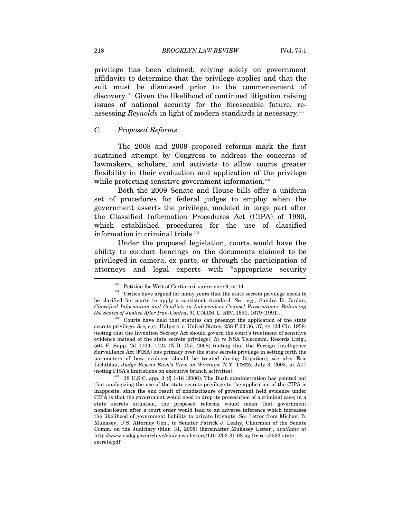privilege has been claimed, relying solely on government affidavits to determine that the privilege applies and that the suit must be dismissed prior to the commencement of discovery.100 Given the likelihood of continued litigation raising issues of national security for the foreseeable future, reassessing *Reynolds* in light of modern standards is necessary.<sup>101</sup>

#### *C. Proposed Reforms*

The 2008 and 2009 proposed reforms mark the first sustained attempt by Congress to address the concerns of lawmakers, scholars, and activists to allow courts greater flexibility in their evaluation and application of the privilege while protecting sensitive government information.<sup>102</sup>

Both the 2009 Senate and House bills offer a uniform set of procedures for federal judges to employ when the government asserts the privilege, modeled in large part after the Classified Information Procedures Act (CIPA) of 1980, which established procedures for the use of classified information in criminal trials.<sup>103</sup>

Under the proposed legislation, courts would have the ability to conduct hearings on the documents claimed to be privileged in camera, ex parte, or through the participation of attorneys and legal experts with "appropriate security l

<sup>&</sup>lt;sup>100</sup> Petition for Writ of Certiorari, *supra* note 9, at 14.<br><sup>101</sup> Critics have argued for many years that the state secrets privilege needs to be clarified for courts to apply a consistent standard. *See, e.g.*, Sandra D. Jordan, *Classified Information and Conflicts in Independent Counsel Prosecutions: Balancing the Scales of Justice After Iran-Contra*, 91 COLUM. L. REV. 1651, 1679 (1991).<br><sup>102</sup> Courts have held that statutes can preempt the application of the state

secrets privilege. *See, e.g.*, Halpern v. United States, 258 F.2d 36, 37, 44 (2d Cir. 1958) (noting that the Invention Secrecy Act should govern the court's treatment of sensitive evidence instead of the state secrets privilege); *In re* NSA Telecomm. Records Litig., 564 F. Supp. 2d 1109, 1124 (N.D. Cal. 2008) (noting that the Foreign Intelligence Surveillance Act (FISA) has primacy over the state secrets privilege in setting forth the parameters of how evidence should be treated during litigation); *see also* Eric Lichtblau, *Judge Rejects Bush's View on Wiretaps*, N.Y. TIMES, July 3, 2008, at A17

<sup>(</sup>noting FISA's limitations on executive branch activities). 103 18 U.S.C. app. 3 §§ 1-16 (2006). The Bush administration has pointed out that analogizing the use of the state secrets privilege to the application of the CIPA is inapposite, since the end result of nondisclosure of government held evidence under CIPA is that the government would need to drop its prosecution of a criminal case; in a state secrets situation, the proposed reforms would mean that government nondisclosure after a court order would lead to an adverse inference which increases the likelihood of government liability to private litigants. *See* Letter from Michael B. Mukasey, U.S. Attorney Gen., to Senator Patrick J. Leahy, Chairman of the Senate Comm. on the Judiciary (Mar. 31, 2008) [hereinafter Mukasey Letter], *available at*  http://www.usdoj.gov/archive/ola/views-letters/110-2/03-31-08-ag-ltr-re-s2533-statesecrets.pdf.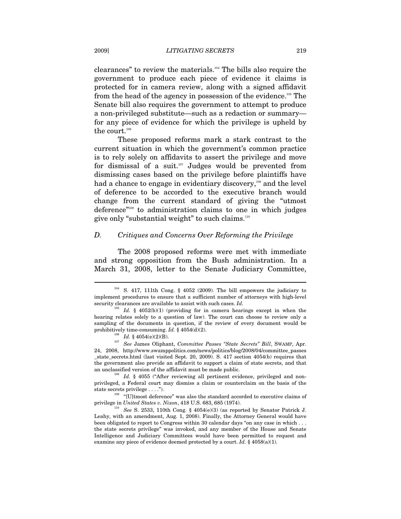clearances" to review the materials.104 The bills also require the government to produce each piece of evidence it claims is protected for in camera review, along with a signed affidavit from the head of the agency in possession of the evidence.105 The Senate bill also requires the government to attempt to produce a non-privileged substitute—such as a redaction or summary for any piece of evidence for which the privilege is upheld by the court.<sup>106</sup>

These proposed reforms mark a stark contrast to the current situation in which the government's common practice is to rely solely on affidavits to assert the privilege and move for dismissal of a suit.<sup>107</sup> Judges would be prevented from dismissing cases based on the privilege before plaintiffs have had a chance to engage in evidentiary discovery,<sup>108</sup> and the level of deference to be accorded to the executive branch would change from the current standard of giving the "utmost deference"109 to administration claims to one in which judges give only "substantial weight" to such claims.110

# *D. Critiques and Concerns Over Reforming the Privilege*

The 2008 proposed reforms were met with immediate and strong opposition from the Bush administration. In a March 31, 2008, letter to the Senate Judiciary Committee,

<sup>104</sup> S. 417, 111th Cong. § 4052 (2009). The bill empowers the judiciary to implement procedures to ensure that a sufficient number of attorneys with high-level security clearances are available to assist with such cases. *Id.*

 $105$  *Id.* § 4052(b)(1) (providing for in camera hearings except in when the hearing relates solely to a question of law). The court can choose to review only a sampling of the documents in question, if the review of every document would be

prohibitively time-consuming. *Id.* § 4054(d)(2).<br><sup>106</sup> *Id.* § 4054(e)(2)(B).<br><sup>107</sup> See James Oliphant, *Committee Passes "State Secrets" Bill*, SWAMP, Apr. 24, 2008, http://www.swamppolitics.com/news/politics/blog/2008/04/committee\_passes \_state\_secrets.html (last visited Sept. 20, 2009). S. 417 section 4054(b) requires that the government also provide an affidavit to support a claim of state secrets, and that

an unclassified version of the affidavit must be made public.<br><sup>108</sup> *Id.* § 4055 ("After reviewing all pertinent evidence, privileged and nonprivileged, a Federal court may dismiss a claim or counterclaim on the basis of the state secrets privilege . . . .").  $^{109}$  "[U]tmost deference" was also the standard accorded to executive claims of

privilege in *United States v. Nixon*, 418 U.S. 683, 685 (1974).<br><sup>110</sup> See S. 2533, 110th Cong. § 4054(e)(3) (as reported by Senator Patrick J.

Leahy, with an amendment, Aug. 1, 2008). Finally, the Attorney General would have been obligated to report to Congress within 30 calendar days "on any case in which . . . the state secrets privilege" was invoked, and any member of the House and Senate Intelligence and Judiciary Committees would have been permitted to request and examine any piece of evidence deemed protected by a court. *Id.* § 4058(a)(1).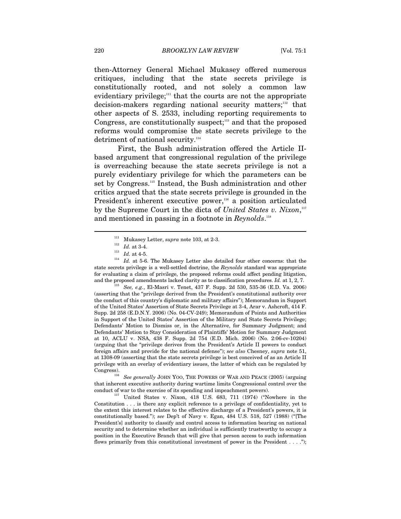then-Attorney General Michael Mukasey offered numerous critiques, including that the state secrets privilege is constitutionally rooted, and not solely a common law evidentiary privilege; $111$  that the courts are not the appropriate decision-makers regarding national security matters;<sup>112</sup> that other aspects of S. 2533, including reporting requirements to Congress, are constitutionally suspect; $113$  and that the proposed reforms would compromise the state secrets privilege to the detriment of national security.<sup>114</sup>

First, the Bush administration offered the Article IIbased argument that congressional regulation of the privilege is overreaching because the state secrets privilege is not a purely evidentiary privilege for which the parameters can be set by Congress.<sup>115</sup> Instead, the Bush administration and other critics argued that the state secrets privilege is grounded in the President's inherent executive power,<sup>116</sup> a position articulated by the Supreme Court in the dicta of *United States v. Nixon*,<sup>117</sup> and mentioned in passing in a footnote in *Reynolds*. 118

 $\overline{a}$ 

<sup>111</sup> Mukasey Letter, *supra* note 103, at 2-3.<br>
<sup>112</sup> *Id.* at 3-4.<br>
<sup>113</sup> *Id.* at 4-5.<br>
<sup>114</sup> *Id.* at 5-6. The Mukasey Letter also detailed four other concerns: that the state secrets privilege is a well-settled doctrine, the *Reynolds* standard was appropriate for evaluating a claim of privilege, the proposed reforms could affect pending litigation, and the proposed amendments lacked clarity as to classification procedures.  $Id$ . at 1, 2, 7.

 $\overline{\text{S}}$ i<sup>15</sup> See, e.g., El-Masri v. Tenet, 437 F. Supp. 2d 530, 535-36 (E.D. Va. 2006) (asserting that the "privilege derived from the President's constitutional authority over the conduct of this country's diplomatic and military affairs"); Memorandum in Support of the United States' Assertion of State Secrets Privilege at 3-4, Arar v. Ashcroft, 414 F. Supp. 2d 258 (E.D.N.Y. 2006) (No. 04-CV-249); Memorandum of Points and Authorities in Support of the United States' Assertion of the Military and State Secrets Privilege; Defendants' Motion to Dismiss or, in the Alternative, for Summary Judgment; and Defendants' Motion to Stay Consideration of Plaintiffs' Motion for Summary Judgment at 10, ACLU v. NSA, 438 F. Supp. 2d 754 (E.D. Mich. 2006) (No. 2:06-cv-10204) (arguing that the "privilege derives from the President's Article II powers to conduct foreign affairs and provide for the national defense"); *see also* Chesney, *supra* note 51, at 1308-09 (asserting that the state secrets privilege is best conceived of as an Article II privilege with an overlay of evidentiary issues, the latter of which can be regulated by Congress). 116 *See generally* JOHN YOO, THE POWERS OF WAR AND PEACE (2005) (arguing

that inherent executive authority during wartime limits Congressional control over the conduct of war to the exercise of its spending and impeachment powers).<br><sup>117</sup> United States v. Nixon, 418 U.S. 683, 711 (1974) ("Nowhere in the

Constitution . . . is there any explicit reference to a privilege of confidentiality, yet to the extent this interest relates to the effective discharge of a President's powers, it is constitutionally based."); *see* Dep't of Navy v. Egan, 484 U.S. 518, 527 (1988) ("[The President's] authority to classify and control access to information bearing on national security and to determine whether an individual is sufficiently trustworthy to occupy a position in the Executive Branch that will give that person access to such information flows primarily from this constitutional investment of power in the President . . . .");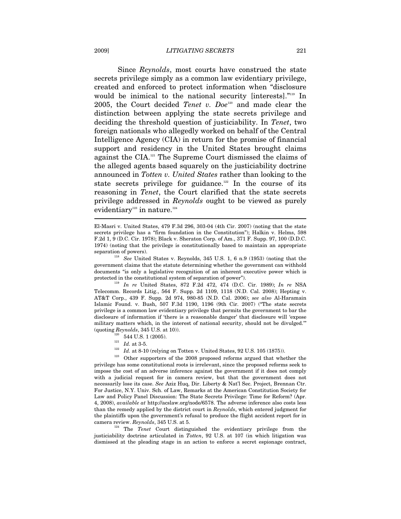#### 2009] *LITIGATING SECRETS* 221

Since *Reynolds*, most courts have construed the state secrets privilege simply as a common law evidentiary privilege, created and enforced to protect information when "disclosure would be inimical to the national security [interests]."119 In 2005, the Court decided *Tenet v. Doe*<sup>120</sup> and made clear the distinction between applying the state secrets privilege and deciding the threshold question of justiciability. In *Tenet*, two foreign nationals who allegedly worked on behalf of the Central Intelligence Agency (CIA) in return for the promise of financial support and residency in the United States brought claims against the CIA.121 The Supreme Court dismissed the claims of the alleged agents based squarely on the justiciability doctrine announced in *Totten v. United States* rather than looking to the state secrets privilege for guidance.<sup>122</sup> In the course of its reasoning in *Tenet*, the Court clarified that the state secrets privilege addressed in *Reynolds* ought to be viewed as purely  ${\rm evidentiary^{_{123}}~in}$  nature. $^{^{124}}$ I

protected in the constitutional system of separation of power"). 119 *In re* United States, 872 F.2d 472, 474 (D.C. Cir. 1989); *In re* NSA Telecomm. Records Litig., 564 F. Supp. 2d 1109, 1118 (N.D. Cal. 2008); Hepting v. AT&T Corp., 439 F. Supp. 2d 974, 980-85 (N.D. Cal. 2006); *see also* Al-Haramain Islamic Found. v. Bush, 507 F.3d 1190, 1196 (9th Cir. 2007) ("The state secrets privilege is a common law evidentiary privilege that permits the government to bar the disclosure of information if 'there is a reasonable danger' that disclosure will 'expose military matters which, in the interest of national security, should not be divulged.'" (quoting *Reynolds*, 345 U.S. at 10)).<br><sup>120</sup> 544 U.S. 1 (2005).<br><sup>121</sup> *Id.* at 3-5.

- 
- 
- 

<sup>122</sup> *Id.* at 8-10 (relying on Totten v. United States, 92 U.S. 105 (1875)).<br><sup>123</sup> Other supporters of the 2008 proposed reforms argued that whether the privilege has some constitutional roots is irrelevant, since the proposed reforms seek to impose the cost of an adverse inference against the government if it does not comply with a judicial request for in camera review, but that the government does not necessarily lose its case. *See* Aziz Huq, Dir. Liberty & Nat'l Sec. Project, Brennan Ctr. For Justice, N.Y. Univ. Sch. of Law, Remarks at the American Constitution Society for Law and Policy Panel Discussion: The State Secrets Privilege: Time for Reform? (Apr. 4, 2008), *available at* http://acslaw.org/node/6578. The adverse inference also costs less than the remedy applied by the district court in *Reynolds*, which entered judgment for the plaintiffs upon the government's refusal to produce the flight accident report for in camera review. *Reynolds*, 345 U.S. at 5.

<sup>124</sup> The *Tenet* Court distinguished the evidentiary privilege from the justiciability doctrine articulated in *Totten*, 92 U.S. at 107 (in which litigation was dismissed at the pleading stage in an action to enforce a secret espionage contract,

El-Masri v. United States, 479 F.3d 296, 303-04 (4th Cir. 2007) (noting that the state secrets privilege has a "firm foundation in the Constitution"); Halkin v. Helms, 598 F.2d 1, 9 (D.C. Cir. 1978); Black v. Sheraton Corp. of Am., 371 F. Supp. 97, 100 (D.D.C. 1974) (noting that the privilege is constitutionally based to maintain an appropriate

separation of powers). 118 *See* United States v. Reynolds, 345 U.S. 1, 6 n.9 (1953) (noting that the government claims that the statute determining whether the government can withhold documents "is only a legislative recognition of an inherent executive power which is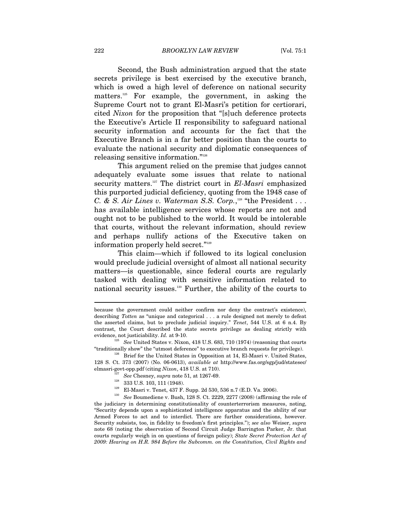Second, the Bush administration argued that the state secrets privilege is best exercised by the executive branch, which is owed a high level of deference on national security matters.125 For example, the government, in asking the Supreme Court not to grant El-Masri's petition for certiorari, cited *Nixon* for the proposition that "[s]uch deference protects the Executive's Article II responsibility to safeguard national security information and accounts for the fact that the Executive Branch is in a far better position than the courts to evaluate the national security and diplomatic consequences of releasing sensitive information."126

This argument relied on the premise that judges cannot adequately evaluate some issues that relate to national security matters.127 The district court in *El-Masri* emphasized this purported judicial deficiency, quoting from the 1948 case of *C. & S. Air Lines v. Waterman S.S. Corp.*, 128 "the President . . . has available intelligence services whose reports are not and ought not to be published to the world. It would be intolerable that courts, without the relevant information, should review and perhaps nullify actions of the Executive taken on information properly held secret."129

This claim—which if followed to its logical conclusion would preclude judicial oversight of almost all national security matters—is questionable, since federal courts are regularly tasked with dealing with sensitive information related to national security issues.130 Further, the ability of the courts to

- 
- 

the judiciary in determining constitutionality of counterterrorism measures, noting, "Security depends upon a sophisticated intelligence apparatus and the ability of our Armed Forces to act and to interdict. There are further considerations, however. Security subsists, too, in fidelity to freedom's first principles."); *see also* Weiser, *supra* note 68 (noting the observation of Second Circuit Judge Barrington Parker, Jr. that courts regularly weigh in on questions of foreign policy); *State Secret Protection Act of 2009: Hearing on H.R. 984 Before the Subcomm. on the Constitution, Civil Rights and* 

because the government could neither confirm nor deny the contract's existence), describing *Totten* as "unique and categorical . . . a rule designed not merely to defeat the asserted claims, but to preclude judicial inquiry." *Tenet*, 544 U.S. at 6 n.4. By contrast, the Court described the state secrets privilege as dealing strictly with evidence, not justiciability. *Id.* at 9-10.

<sup>&</sup>lt;sup>125</sup> See United States v. Nixon, 418 U.S. 683, 710 (1974) (reasoning that courts "traditionally show" the "utmost deference" to executive branch requests for privilege). Brief for the United States in Opposition at 14, El-Masri v. United States,

<sup>128</sup> S. Ct. 373 (2007) (No. 06-0613), *available at* http://www.fas.org/sgp/jud/statesec/ elmasri-govt-opp.pdf (citing *Nixon*, 418 U.S. at 710).<br>
<sup>127</sup> See Chesney, supra note 51, at 1267-69.<br>
<sup>128</sup> 333 U.S. 103, 111 (1948).<br>
<sup>129</sup> El-Masri v. Tenet, 437 F. Supp. 2d 530, 536 n.7 (E.D. Va. 2006).<br>
<sup>130</sup> See Bo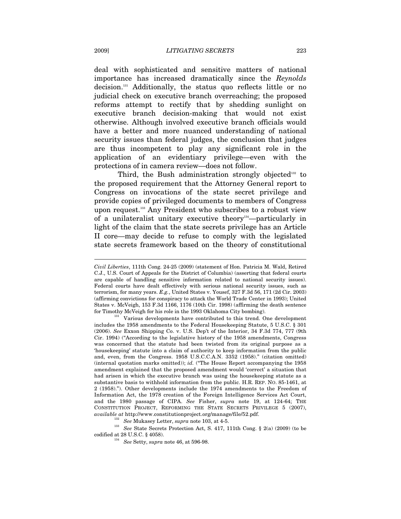deal with sophisticated and sensitive matters of national importance has increased dramatically since the *Reynolds* decision.<sup>131</sup> Additionally, the status quo reflects little or no judicial check on executive branch overreaching; the proposed reforms attempt to rectify that by shedding sunlight on executive branch decision-making that would not exist otherwise. Although involved executive branch officials would have a better and more nuanced understanding of national security issues than federal judges, the conclusion that judges are thus incompetent to play any significant role in the application of an evidentiary privilege—even with the protections of in camera review—does not follow.

Third, the Bush administration strongly objected<sup>132</sup> to the proposed requirement that the Attorney General report to Congress on invocations of the state secret privilege and provide copies of privileged documents to members of Congress upon request.<sup>133</sup> Any President who subscribes to a robust view of a unilateralist unitary executive theory<sup>134</sup>—particularly in light of the claim that the state secrets privilege has an Article II core—may decide to refuse to comply with the legislated state secrets framework based on the theory of constitutional

*Civil Liberties*, 111th Cong. 24-25 (2009) (statement of Hon. Patricia M. Wald, Retired C.J., U.S. Court of Appeals for the District of Columbia) (asserting that federal courts are capable of handling sensitive information related to national security issues). Federal courts have dealt effectively with serious national security issues, such as terrorism, for many years. *E.g.*, United States v. Yousef, 327 F.3d 56, 171 (2d Cir. 2003) (affirming convictions for conspiracy to attack the World Trade Center in 1993); United States v. McVeigh, 153 F.3d 1166, 1176 (10th Cir. 1998) (affirming the death sentence

for Timothy McVeigh for his role in the 1993 Oklahoma City bombing). 131 Various developments have contributed to this trend. One development includes the 1958 amendments to the Federal Housekeeping Statute, 5 U.S.C. § 301 (2006). *See* Exxon Shipping Co. v. U.S. Dep't of the Interior, 34 F.3d 774, 777 (9th Cir. 1994) ("According to the legislative history of the 1958 amendments, Congress was concerned that the statute had been twisted from its original purpose as a 'housekeeping' statute into a claim of authority to keep information from the public and, even, from the Congress. 1958 U.S.C.C.A.N. 3352 (1958)." (citation omitted) (internal quotation marks omitted)); *id.* ("The House Report accompanying the 1958 amendment explained that the proposed amendment would 'correct' a situation that had arisen in which the executive branch was using the housekeeping statute as a substantive basis to withhold information from the public. H.R. REP. NO. 85-1461, at 2 (1958)."). Other developments include the 1974 amendments to the Freedom of Information Act, the 1978 creation of the Foreign Intelligence Services Act Court, and the 1980 passage of CIPA. *See* Fisher, *supra* note 19, at 124-64; THE CONSTITUTION PROJECT, REFORMING THE STATE SECRETS PRIVILEGE 5 (2007), *available at* http://www.constitutionproject.org/manage/file/52.pdf.

<sup>&</sup>lt;sup>132</sup> See Mukasey Letter, *supra* note 103, at 4-5. <sup>133</sup> See State Secrets Protection Act, S. 417, 111th Cong. § 2(a) (2009) (to be codified at 28 U.S.C. § 4058). 134 *See* Setty, *supra* note 46, at 596-98.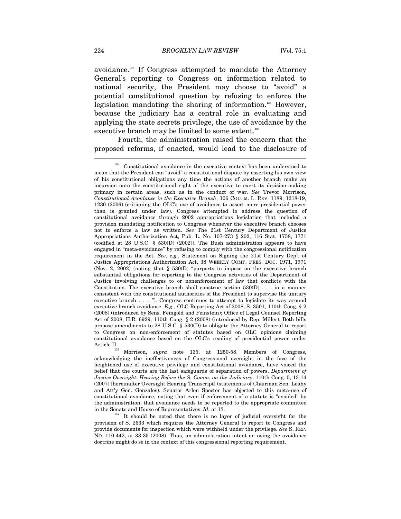avoidance.135 If Congress attempted to mandate the Attorney General's reporting to Congress on information related to national security, the President may choose to "avoid" a potential constitutional question by refusing to enforce the legislation mandating the sharing of information.<sup>136</sup> However, because the judiciary has a central role in evaluating and applying the state secrets privilege, the use of avoidance by the executive branch may be limited to some extent.<sup>137</sup>

Fourth, the administration raised the concern that the proposed reforms, if enacted, would lead to the disclosure of  $\overline{\phantom{a}}$ 

 $^{135}\,$  Constitutional avoidance in the executive context has been understood to mean that the President can "avoid" a constitutional dispute by asserting his own view of his constitutional obligations any time the actions of another branch make an incursion onto the constitutional right of the executive to exert its decision-making primacy in certain areas, such as in the conduct of war. *See* Trevor Morrison, *Constitutional Avoidance in the Executive Branch*, 106 COLUM. L. REV. 1189, 1218-19, 1230 (2006) (critiquing the OLC's use of avoidance to assert more presidential power than is granted under law). Congress attempted to address the question of constitutional avoidance through 2002 appropriations legislation that included a provision mandating notification to Congress whenever the executive branch chooses not to enforce a law as written. *See* The 21st Century Department of Justice Appropriations Authorization Act, Pub. L. No. 107-273 § 202, 116 Stat. 1758, 1771 (codified at 28 U.S.C. § 530(D) (2002)). The Bush administration appears to have engaged in "meta-avoidance" by refusing to comply with the congressional notification requirement in the Act. *See, e.g.*, Statement on Signing the 21st Century Dep't of Justice Appropriations Authorization Act, 38 WEEKLY COMP. PRES. DOC. 1971, 1971 (Nov. 2, 2002) (noting that § 530(D) "purports to impose on the executive branch substantial obligations for reporting to the Congress activities of the Department of Justice involving challenges to or nonenforcement of law that conflicts with the Constitution. The executive branch shall construe section 530(D) . . . in a manner consistent with the constitutional authorities of the President to supervise the unitary executive branch . . . ."). Congress continues to attempt to legislate its way around executive branch avoidance. *E.g.*, OLC Reporting Act of 2008, S. 3501, 110th Cong. § 2 (2008) (introduced by Sens. Feingold and Feinstein); Office of Legal Counsel Reporting Act of 2008, H.R. 6929, 110th Cong. § 2 (2008) (introduced by Rep. Miller). Both bills propose amendments to 28 U.S.C. § 530(D) to obligate the Attorney General to report to Congress on non-enforcement of statutes based on OLC opinions claiming constitutional avoidance based on the OLC's reading of presidential power under

Article II.<br><sup>136</sup> Morrison, *supra* note 135, at 1250-58. Members of Congress, acknowledging the ineffectiveness of Congressional oversight in the face of the heightened use of executive privilege and constitutional avoidance, have voiced the belief that the courts are the last safeguards of separation of powers. *Department of Justice Oversight: Hearing Before the S. Comm. on the Judiciary*, 110th Cong. 5, 13-14 (2007) [hereinafter Oversight Hearing Transcript] (statements of Chairman Sen. Leahy and Att'y Gen. Gonzales). Senator Arlen Specter has objected to this meta-use of constitutional avoidance, noting that even if enforcement of a statute is "avoided" by the administration, that avoidance needs to be reported to the appropriate committee in the Senate and House of Representatives. *Id.* at 13.<br><sup>137</sup> It should be noted that there is no layer of judicial oversight for the

provision of S. 2533 which requires the Attorney General to report to Congress and provide documents for inspection which were withheld under the privilege. *See* S. REP. NO. 110-442, at 33-35 (2008). Thus, an administration intent on using the avoidance doctrine might do so in the context of this congressional reporting requirement.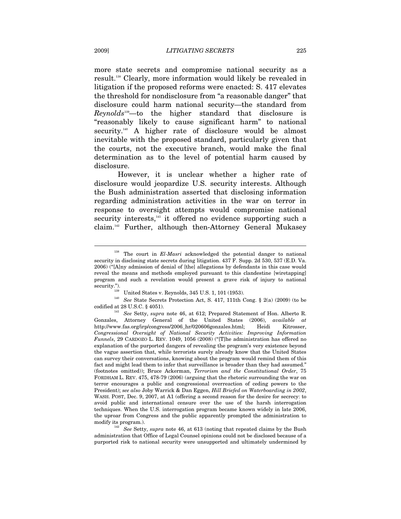more state secrets and compromise national security as a result.138 Clearly, more information would likely be revealed in litigation if the proposed reforms were enacted: S. 417 elevates the threshold for nondisclosure from "a reasonable danger" that disclosure could harm national security—the standard from *Reynolds*139—to the higher standard that disclosure is "reasonably likely to cause significant harm" to national security.<sup>140</sup> A higher rate of disclosure would be almost inevitable with the proposed standard, particularly given that the courts, not the executive branch, would make the final determination as to the level of potential harm caused by disclosure.

However, it is unclear whether a higher rate of disclosure would jeopardize U.S. security interests. Although the Bush administration asserted that disclosing information regarding administration activities in the war on terror in response to oversight attempts would compromise national security interests, $141$  it offered no evidence supporting such a claim.142 Further, although then-Attorney General Mukasey

<sup>138</sup> The court in *El-Masri* acknowledged the potential danger to national security in disclosing state secrets during litigation. 437 F. Supp. 2d 530, 537 (E.D. Va. 2006) ("[A]ny admission of denial of [the] allegations by defendants in this case would reveal the means and methods employed pursuant to this clandestine [wiretapping] program and such a revelation would present a grave risk of injury to national security.").<br><sup>139</sup> United States v. Reynolds, 345 U.S. 1, 101 (1953).<br><sup>140</sup> *See* State Secrets Protection Act, S. 417, 111th Cong. § 2(a) (2009) (to be

codified at 28 U.S.C. § 4051). 141 *See* Setty, *supra* note 46, at 612; Prepared Statement of Hon. Alberto R.

Gonzales, Attorney General of the United States (2006), *available at* http://www.fas.org/irp/congress/2006\_hr/020606gonzales.html; Heidi Kitrosser, *Congressional Oversight of National Security Activities: Improving Information Funnels*, 29 CARDOZO L. REV. 1049, 1056 (2008) ("[T]he administration has offered no explanation of the purported dangers of revealing the program's very existence beyond the vague assertion that, while terrorists surely already know that the United States can survey their conversations, knowing about the program would remind them of this fact and might lead them to infer that surveillance is broader than they had assumed." (footnotes omitted)); Bruce Ackerman, *Terrorism and the Constitutional Order*, 75 FORDHAM L. REV. 475, 478-79 (2006) (arguing that the rhetoric surrounding the war on terror encourages a public and congressional overreaction of ceding powers to the President); *see also* Joby Warrick & Dan Eggen, *Hill Briefed on Waterboarding in 2002*, WASH. POST, Dec. 9, 2007, at A1 (offering a second reason for the desire for secrecy: to avoid public and international censure over the use of the harsh interrogation techniques. When the U.S. interrogation program became known widely in late 2006, the uproar from Congress and the public apparently prompted the administration to modify its program.). 142 *See* Setty, *supra* note 46, at 613 (noting that repeated claims by the Bush

administration that Office of Legal Counsel opinions could not be disclosed because of a purported risk to national security were unsupported and ultimately undermined by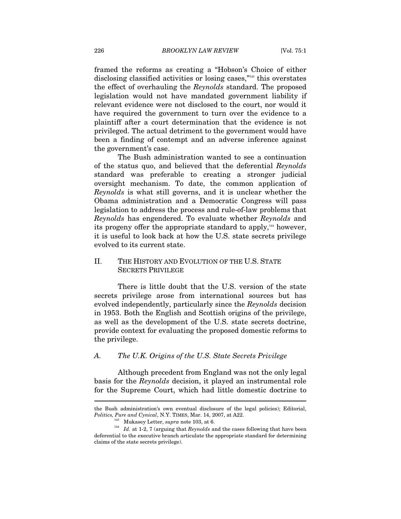framed the reforms as creating a "Hobson's Choice of either disclosing classified activities or losing cases,"143 this overstates the effect of overhauling the *Reynolds* standard. The proposed legislation would not have mandated government liability if relevant evidence were not disclosed to the court, nor would it have required the government to turn over the evidence to a plaintiff after a court determination that the evidence is not privileged. The actual detriment to the government would have been a finding of contempt and an adverse inference against the government's case.

The Bush administration wanted to see a continuation of the status quo, and believed that the deferential *Reynolds* standard was preferable to creating a stronger judicial oversight mechanism. To date, the common application of *Reynolds* is what still governs, and it is unclear whether the Obama administration and a Democratic Congress will pass legislation to address the process and rule-of-law problems that *Reynolds* has engendered. To evaluate whether *Reynolds* and its progeny offer the appropriate standard to apply, $144$  however, it is useful to look back at how the U.S. state secrets privilege evolved to its current state.

# II. THE HISTORY AND EVOLUTION OF THE U.S. STATE SECRETS PRIVILEGE

There is little doubt that the U.S. version of the state secrets privilege arose from international sources but has evolved independently, particularly since the *Reynolds* decision in 1953. Both the English and Scottish origins of the privilege, as well as the development of the U.S. state secrets doctrine, provide context for evaluating the proposed domestic reforms to the privilege.

#### *A. The U.K. Origins of the U.S. State Secrets Privilege*

Although precedent from England was not the only legal basis for the *Reynolds* decision, it played an instrumental role for the Supreme Court, which had little domestic doctrine to  $\overline{a}$ 

the Bush administration's own eventual disclosure of the legal policies); Editorial,

*Politics, Pure and Cynical*, N.Y. TIMES, Mar. 14, 2007, at A22.<br><sup>143</sup> Mukasey Letter, *supra* note 103, at 6.<br><sup>144</sup> *Id.* at 1-2, 7 (arguing that *Reynolds* and the cases following that have been deferential to the executive branch articulate the appropriate standard for determining claims of the state secrets privilege).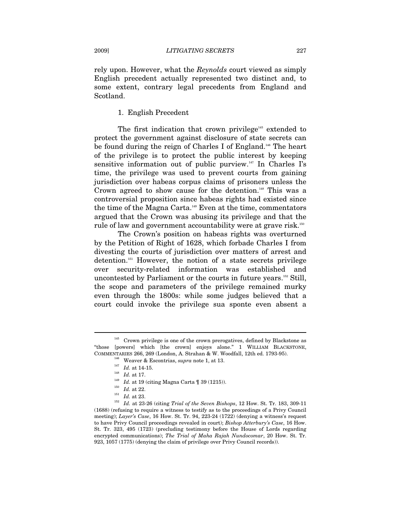rely upon. However, what the *Reynolds* court viewed as simply English precedent actually represented two distinct and, to some extent, contrary legal precedents from England and Scotland.

#### 1. English Precedent

The first indication that crown privilege<sup>145</sup> extended to protect the government against disclosure of state secrets can be found during the reign of Charles I of England.146 The heart of the privilege is to protect the public interest by keeping sensitive information out of public purview.<sup>147</sup> In Charles I's time, the privilege was used to prevent courts from gaining jurisdiction over habeas corpus claims of prisoners unless the Crown agreed to show cause for the detention.<sup>148</sup> This was a controversial proposition since habeas rights had existed since the time of the Magna Carta.149 Even at the time, commentators argued that the Crown was abusing its privilege and that the rule of law and government accountability were at grave risk.<sup>150</sup>

The Crown's position on habeas rights was overturned by the Petition of Right of 1628, which forbade Charles I from divesting the courts of jurisdiction over matters of arrest and detention.151 However, the notion of a state secrets privilege over security-related information was established and uncontested by Parliament or the courts in future years.152 Still, the scope and parameters of the privilege remained murky even through the 1800s: while some judges believed that a court could invoke the privilege sua sponte even absent a

 $^{145}\,$  Crown privilege is one of the crown prerogatives, defined by Blackstone as "those [powers] which [the crown] enjoys alone." 1 WILLIAM BLACKSTONE,

<sup>&</sup>lt;sup>146</sup> Weaver & Escontrias, *supra* note 1, at 13.<br>
<sup>147</sup> *Id.* at 14-15.<br> *Id.* at 17.<br>
<sup>149</sup> *Id.* at 19 (citing Magna Carta ¶ 39 (1215)).<br> *Id.* at 22.<br>
<sup>150</sup> *Id.* at 22.<br> *Id.* at 23.<br> *Id.* at 23.<br> *Id.* at 23-26 (ci (1688) (refusing to require a witness to testify as to the proceedings of a Privy Council meeting); *Layer's Case*, 16 How. St. Tr. 94, 223-24 (1722) (denying a witness's request to have Privy Council proceedings revealed in court); *Bishop Atterbury's Case*, 16 How. St. Tr. 323, 495 (1723) (precluding testimony before the House of Lords regarding encrypted communications); *The Trial of Maha Rajah Nundocomar*, 20 How. St. Tr. 923, 1057 (1775) (denying the claim of privilege over Privy Council records)).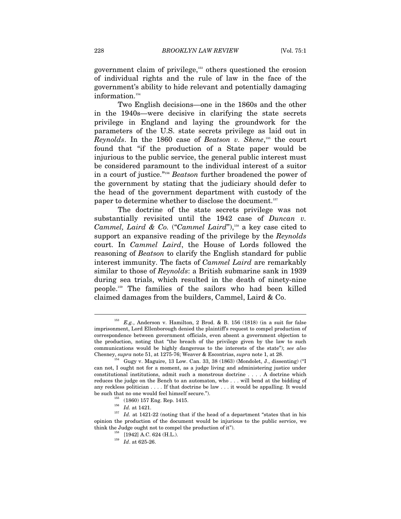government claim of privilege,153 others questioned the erosion of individual rights and the rule of law in the face of the government's ability to hide relevant and potentially damaging information.<sup>154</sup>

Two English decisions—one in the 1860s and the other in the 1940s—were decisive in clarifying the state secrets privilege in England and laying the groundwork for the parameters of the U.S. state secrets privilege as laid out in *Reynolds*. In the 1860 case of *Beatson v. Skene*, 155 the court found that "if the production of a State paper would be injurious to the public service, the general public interest must be considered paramount to the individual interest of a suitor in a court of justice."156 *Beatson* further broadened the power of the government by stating that the judiciary should defer to the head of the government department with custody of the paper to determine whether to disclose the document.<sup>157</sup>

The doctrine of the state secrets privilege was not substantially revisited until the 1942 case of *Duncan v. Cammel, Laird & Co.* ("*Cammel Laird*"),<sup>158</sup> a key case cited to support an expansive reading of the privilege by the *Reynolds* court. In *Cammel Laird*, the House of Lords followed the reasoning of *Beatson* to clarify the English standard for public interest immunity. The facts of *Cammel Laird* are remarkably similar to those of *Reynolds*: a British submarine sank in 1939 during sea trials, which resulted in the death of ninety-nine people.159 The families of the sailors who had been killed claimed damages from the builders, Cammel, Laird & Co.

<sup>153</sup> *E.g.*, Anderson v. Hamilton, 2 Brod. & B. 156 (1818) (in a suit for false imprisonment, Lord Ellenborough denied the plaintiff's request to compel production of correspondence between government officials, even absent a government objection to the production, noting that "the breach of the privilege given by the law to such communications would be highly dangerous to the interests of the state"); *see also*  Chesney, *supra* note 51, at 1275-76; Weaver & Escontrias, *supra* note 1, at 28.<br><sup>154</sup> Gugy v. Maguire, 13 Low. Can. 33, 38 (1863) (Mondolet, J., dissenting) ("I

can not, I ought not for a moment, as a judge living and administering justice under constitutional institutions, admit such a monstrous doctrine . . . . A doctrine which reduces the judge on the Bench to an automaton, who . . . will bend at the bidding of any reckless politician . . . . If that doctrine be law . . . it would be appalling. It would be such that no one would feel himself secure.").<br>
<sup>155</sup> (1860) 157 Eng. Rep. 1415.<br> *Id.* at 1421.<br> *Id.* at 1421-22 (noting that if the head of a department "states that in his

opinion the production of the document would be injurious to the public service, we think the Judge ought not to compel the production of it").  $$^{158}$$  [1942] A.C. 624 (H.L.).  $$Id.$  at 625-26.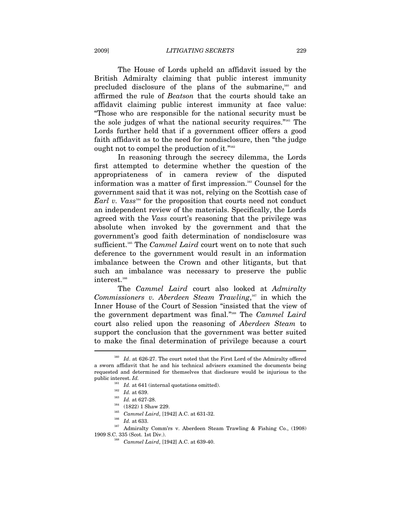The House of Lords upheld an affidavit issued by the British Admiralty claiming that public interest immunity precluded disclosure of the plans of the submarine,<sup>160</sup> and affirmed the rule of *Beatson* that the courts should take an affidavit claiming public interest immunity at face value: "Those who are responsible for the national security must be the sole judges of what the national security requires."161 The Lords further held that if a government officer offers a good faith affidavit as to the need for nondisclosure, then "the judge ought not to compel the production of it."162

In reasoning through the secrecy dilemma, the Lords first attempted to determine whether the question of the appropriateness of in camera review of the disputed information was a matter of first impression.<sup>163</sup> Counsel for the government said that it was not, relying on the Scottish case of *Earl v. Vass*<sup>164</sup> for the proposition that courts need not conduct an independent review of the materials. Specifically, the Lords agreed with the *Vass* court's reasoning that the privilege was absolute when invoked by the government and that the government's good faith determination of nondisclosure was sufficient.<sup>165</sup> The *Cammel Laird* court went on to note that such deference to the government would result in an information imbalance between the Crown and other litigants, but that such an imbalance was necessary to preserve the public interest.<sup>166</sup>

The *Cammel Laird* court also looked at *Admiralty Commissioners v. Aberdeen Steam Trawling*, 167 in which the Inner House of the Court of Session "insisted that the view of the government department was final."168 The *Cammel Laird* court also relied upon the reasoning of *Aberdeen Steam* to support the conclusion that the government was better suited to make the final determination of privilege because a court  $\overline{a}$ 

<sup>&</sup>lt;sup>160</sup> *Id.* at 626-27. The court noted that the First Lord of the Admiralty offered a sworn affidavit that he and his technical advisers examined the documents being requested and determined for themselves that disclosure would be injurious to the public interest.  $Id$ .<br><sup>161</sup>  $Id$ . at 641 (internal quotations omitted).

<sup>&</sup>lt;sup>162</sup> *Id.* at 639.<br>
<sup>163</sup> *Id.* at 627-28.<br>
<sup>164</sup> (1822) 1 Shaw 229.<br>
<sup>166</sup> *Id.* at 633.<br>
<sup>166</sup> *Id.* at 633.<br>
<sup>166</sup> *Id.* at 633.<br>
<sup>167</sup> Admiralty Comm'rs v. Aberdeen Steam Trawling & Fishing Co., (1908) 1909 S.C. 335 (Scot. 1st Div.). 168 *Cammel Laird*, [1942] A.C. at 639-40.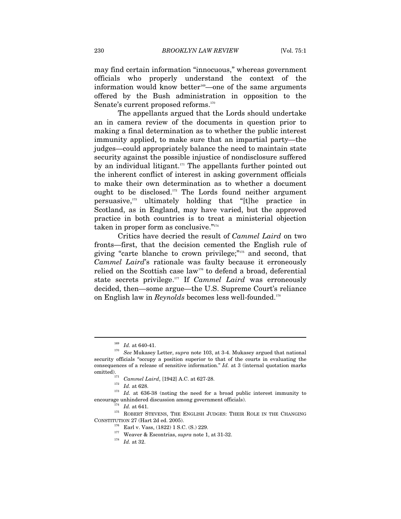may find certain information "innocuous," whereas government officials who properly understand the context of the information would know better<sup>169</sup>—one of the same arguments offered by the Bush administration in opposition to the Senate's current proposed reforms.<sup>170</sup>

The appellants argued that the Lords should undertake an in camera review of the documents in question prior to making a final determination as to whether the public interest immunity applied, to make sure that an impartial party—the judges—could appropriately balance the need to maintain state security against the possible injustice of nondisclosure suffered by an individual litigant.<sup>171</sup> The appellants further pointed out the inherent conflict of interest in asking government officials to make their own determination as to whether a document ought to be disclosed.172 The Lords found neither argument persuasive,173 ultimately holding that "[t]he practice in Scotland, as in England, may have varied, but the approved practice in both countries is to treat a ministerial objection taken in proper form as conclusive."<sup>174</sup>

Critics have decried the result of *Cammel Laird* on two fronts—first, that the decision cemented the English rule of giving "carte blanche to crown privilege;"175 and second, that *Cammel Laird*'s rationale was faulty because it erroneously relied on the Scottish case law<sup>176</sup> to defend a broad, deferential state secrets privilege.177 If *Cammel Laird* was erroneously decided, then—some argue—the U.S. Supreme Court's reliance on English law in *Reynolds* becomes less well-founded.178

<sup>169</sup> *Id.* at 640-41. 170 *See* Mukasey Letter, *supra* note 103, at 3-4. Mukasey argued that national security officials "occupy a position superior to that of the courts in evaluating the consequences of a release of sensitive information." *Id.* at 3 (internal quotation marks

omitted).<br><sup>171</sup> *Cammel Laird*, [1942] A.C. at 627-28.<br><sup>172</sup> *Id.* at 628.<br><sup>173</sup> *Id.* at 636-38 (noting the need for a broad public interest immunity to encourage unhindered discussion among government officials).

 $_\text{175}^{_\text{174}}$   $Id.$  at 641. <br> $_\text{175}$  ROBERT STEVENS, THE ENGLISH JUDGES: THEIR ROLE IN THE CHANGING  $\begin{array}{ll} \mbox{CONSTITUTION 27 (Hart 2d ed. 2005).}\\ \vspace{1.0ex} \begin{array}{ll} \mbox{177} & \mbox{Earl v. Vass, (1822) 1 S.C. (S.) 229.}\\ \vspace{1.0ex} \text{177} & \mbox{Weaver & Escontrias,} \supra \text{ note 1, at 31-32.}\\ \vspace{1.0ex} \text{178} & \text{178} & \text{172}. \end{array} \end{array}$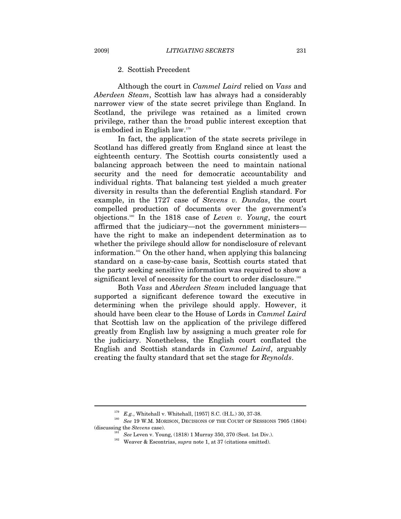## 2. Scottish Precedent

Although the court in *Cammel Laird* relied on *Vass* and *Aberdeen Steam*, Scottish law has always had a considerably narrower view of the state secret privilege than England. In Scotland, the privilege was retained as a limited crown privilege, rather than the broad public interest exception that is embodied in English law.<sup>179</sup>

In fact, the application of the state secrets privilege in Scotland has differed greatly from England since at least the eighteenth century. The Scottish courts consistently used a balancing approach between the need to maintain national security and the need for democratic accountability and individual rights. That balancing test yielded a much greater diversity in results than the deferential English standard. For example, in the 1727 case of *Stevens v. Dundas*, the court compelled production of documents over the government's objections.180 In the 1818 case of *Leven v. Young*, the court affirmed that the judiciary—not the government ministers have the right to make an independent determination as to whether the privilege should allow for nondisclosure of relevant information.181 On the other hand, when applying this balancing standard on a case-by-case basis, Scottish courts stated that the party seeking sensitive information was required to show a significant level of necessity for the court to order disclosure.<sup>182</sup>

Both *Vass* and *Aberdeen Steam* included language that supported a significant deference toward the executive in determining when the privilege should apply. However, it should have been clear to the House of Lords in *Cammel Laird* that Scottish law on the application of the privilege differed greatly from English law by assigning a much greater role for the judiciary. Nonetheless, the English court conflated the English and Scottish standards in *Cammel Laird*, arguably creating the faulty standard that set the stage for *Reynolds*.

 $^{179}$   $E.g.,$  Whitehall v. Whitehall, [1957] S.C. (H.L.) 30, 37-38.  $^{180}$   $See$  19 W.M. MORISON, DECISIONS OF THE COURT OF SESSIONS 7905 (1804) %) (discussing the *Stevens* case). <br><sup>181</sup> *See Leven v. Young, (1818) 1 Murray 350, 370 (Scot. 1st Div.).* Weaver & Escontrias, *supra* note 1, at 37 (citations omitted).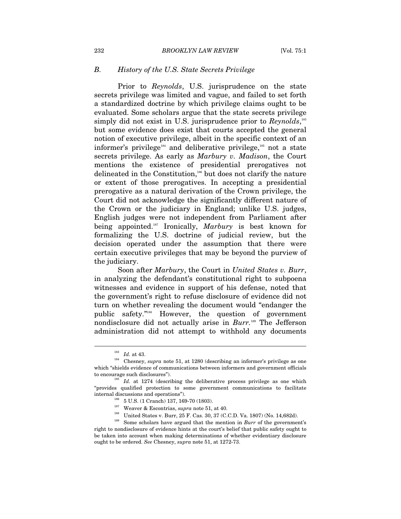#### *B. History of the U.S. State Secrets Privilege*

Prior to *Reynolds*, U.S. jurisprudence on the state secrets privilege was limited and vague, and failed to set forth a standardized doctrine by which privilege claims ought to be evaluated. Some scholars argue that the state secrets privilege simply did not exist in U.S. jurisprudence prior to *Reynolds*,<sup>183</sup> but some evidence does exist that courts accepted the general notion of executive privilege, albeit in the specific context of an informer's privilege<sup>184</sup> and deliberative privilege,<sup>185</sup> not a state secrets privilege. As early as *Marbury v. Madison*, the Court mentions the existence of presidential prerogatives not delineated in the Constitution,186 but does not clarify the nature or extent of those prerogatives. In accepting a presidential prerogative as a natural derivation of the Crown privilege, the Court did not acknowledge the significantly different nature of the Crown or the judiciary in England; unlike U.S. judges, English judges were not independent from Parliament after being appointed.187 Ironically, *Marbury* is best known for formalizing the U.S. doctrine of judicial review, but the decision operated under the assumption that there were certain executive privileges that may be beyond the purview of the judiciary.

Soon after *Marbury*, the Court in *United States v. Burr*, in analyzing the defendant's constitutional right to subpoena witnesses and evidence in support of his defense, noted that the government's right to refuse disclosure of evidence did not turn on whether revealing the document would "endanger the public safety."188 However, the question of government nondisclosure did not actually arise in *Burr.*189 The Jefferson administration did not attempt to withhold any documents

 $183$   $\,$   $Id.$  at 43.  $\,$   $\,$  Chesney,  $supra$  note 51, at 1280 (describing an informer's privilege as one  $\,$ which "shields evidence of communications between informers and government officials to encourage such disclosures").

 $t^{185}$  *Id.* at 1274 (describing the deliberative process privilege as one which "provides qualified protection to some government communications to facilitate internal discussions and operations").<br>
<sup>186</sup> 5 U.S. (1 Cranch) 137, 169-70 (1803).<br>
<sup>187</sup> Weaver & Escontrias, *supra* note 51, at 40.<br>
<sup>188</sup> United States v. Burr, 25 F. Cas. 30, 37 (C.C.D. Va. 1807) (No. 14,682d).<br>
<sup>18</sup>

right to nondisclosure of evidence hints at the court's belief that public safety ought to be taken into account when making determinations of whether evidentiary disclosure ought to be ordered. *See* Chesney, *supra* note 51, at 1272-73.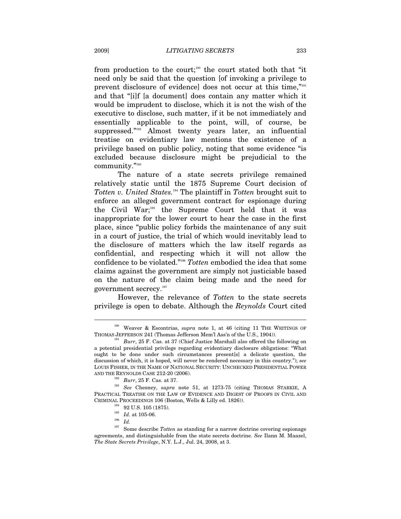from production to the court;<sup>190</sup> the court stated both that "it need only be said that the question [of invoking a privilege to prevent disclosure of evidence] does not occur at this time,"191 and that "[i]f [a document] does contain any matter which it would be imprudent to disclose, which it is not the wish of the executive to disclose, such matter, if it be not immediately and essentially applicable to the point, will, of course, be suppressed."<sup>192</sup> Almost twenty years later, an influential treatise on evidentiary law mentions the existence of a privilege based on public policy, noting that some evidence "is excluded because disclosure might be prejudicial to the community."<sup>193</sup>

The nature of a state secrets privilege remained relatively static until the 1875 Supreme Court decision of *Totten v. United States.*194 The plaintiff in *Totten* brought suit to enforce an alleged government contract for espionage during the Civil War;195 the Supreme Court held that it was inappropriate for the lower court to hear the case in the first place, since "public policy forbids the maintenance of any suit in a court of justice, the trial of which would inevitably lead to the disclosure of matters which the law itself regards as confidential, and respecting which it will not allow the confidence to be violated."196 *Totten* embodied the idea that some claims against the government are simply not justiciable based on the nature of the claim being made and the need for government secrecy.197

However, the relevance of *Totten* to the state secrets privilege is open to debate. Although the *Reynolds* Court cited

<sup>&</sup>lt;sup>190</sup> Weaver & Escontrias, *supra* note 1, at 46 (citing 11 THE WRITINGS OF THOMAS JEFFERSON 241 (Thomas Jefferson Mem'l Ass'n of the U.S., 1904)).

<sup>&</sup>lt;sup>191</sup> Burr, 25 F. Cas. at 37 (Chief Justice Marshall also offered the following on a potential presidential privilege regarding evidentiary disclosure obligations: "What ought to be done under such circumstances present[s] a delicate question, the discussion of which, it is hoped, will never be rendered necessary in this country."); *see* LOUIS FISHER, IN THE NAME OF NATIONAL SECURITY: UNCHECKED PRESIDENTIAL POWER

AND THE REYNOLDS CASE 212-20 (2006).<br><sup>192</sup> Burr, 25 F. Cas. at 37.<br><sup>193</sup> See Chesney, *supra* note 51, at 1273-75 (citing THOMAS STARKIE, A PRACTICAL TREATISE ON THE LAW OF EVIDENCE AND DIGEST OF PROOFS IN CIVIL AND CRIMINAL PROCEEDINGS 106 (Boston, Wells & Lilly ed. 1826)). 195 <br>92 U.S. 105 (1875). *195 <i>Id.* at 105-06. *Id.* Some describe *Totten* as standing for a narrow doctrine covering espionage

agreements, and distinguishable from the state secrets doctrine. *See* Ilann M. Maazel, *The State Secrets Privilege*, N.Y. L.J., Jul. 24, 2008, at 3.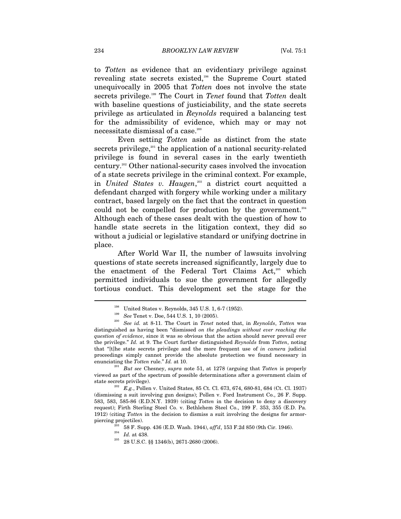to *Totten* as evidence that an evidentiary privilege against revealing state secrets existed,<sup>198</sup> the Supreme Court stated unequivocally in 2005 that *Totten* does not involve the state secrets privilege.199 The Court in *Tenet* found that *Totten* dealt with baseline questions of justiciability, and the state secrets privilege as articulated in *Reynolds* required a balancing test for the admissibility of evidence, which may or may not necessitate dismissal of a case.<sup>200</sup>

Even setting *Totten* aside as distinct from the state secrets privilege, $201$  the application of a national security-related privilege is found in several cases in the early twentieth century.202 Other national-security cases involved the invocation of a state secrets privilege in the criminal context. For example, in *United States v. Haugen*, 203 a district court acquitted a defendant charged with forgery while working under a military contract, based largely on the fact that the contract in question could not be compelled for production by the government.<sup>204</sup> Although each of these cases dealt with the question of how to handle state secrets in the litigation context, they did so without a judicial or legislative standard or unifying doctrine in place.

After World War II, the number of lawsuits involving questions of state secrets increased significantly, largely due to the enactment of the Federal Tort Claims Act,205 which permitted individuals to sue the government for allegedly tortious conduct. This development set the stage for the

viewed as part of the spectrum of possible determinations after a government claim of state secrets privilege). 202 *E.g.*, Pollen v. United States, 85 Ct. Cl. 673, 674, 680-81, 684 (Ct. Cl. 1937)

(dismissing a suit involving gun designs); Pollen v. Ford Instrument Co., 26 F. Supp. 583, 583, 585-86 (E.D.N.Y. 1939) (citing *Totten* in the decision to deny a discovery request); Firth Sterling Steel Co. v. Bethlehem Steel Co., 199 F. 353, 355 (E.D. Pa. 1912) (citing *Totten* in the decision to dismiss a suit involving the designs for armorpiercing projectiles). <sup>203</sup> 58 F. Supp. 436 (E.D. Wash. 1944), *aff'd*, 153 F.2d 850 (9th Cir. 1946). <br><sup>204</sup> *Id.* at 438. <br><sup>205</sup> 28 U.S.C. §§ 1346(b), 2671-2680 (2006).

<sup>&</sup>lt;sup>198</sup> United States v. Reynolds, 345 U.S. 1, 6-7 (1952).<br><sup>199</sup> See Tenet v. Doe, 544 U.S. 1, 10 (2005).<br><sup>200</sup> See id. at 8-11. The Court in *Tenet* noted that, in *Reynolds*, *Totten* was distinguished as having been "dismissed *on the pleadings without ever reaching the question of evidence*, since it was so obvious that the action should never prevail over the privilege." *Id.* at 9. The Court further distinguished *Reynolds* from *Totten*, noting that "[t]he state secrets privilege and the more frequent use of *in camera* judicial proceedings simply cannot provide the absolute protection we found necessary in enunciating the *Totten* rule." *Id.* at 10. 201 *But see* Chesney, *supra* note 51, at 1278 (arguing that *Totten* is properly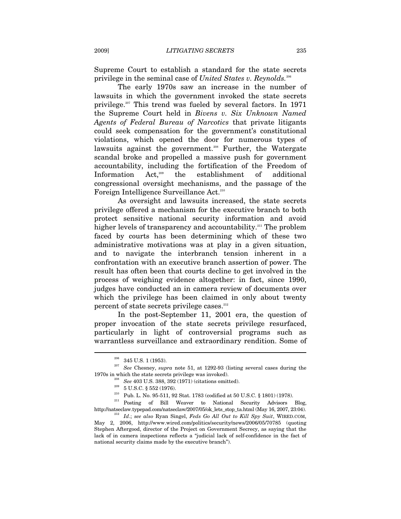Supreme Court to establish a standard for the state secrets privilege in the seminal case of *United States v. Reynolds.*206

The early 1970s saw an increase in the number of lawsuits in which the government invoked the state secrets privilege.207 This trend was fueled by several factors. In 1971 the Supreme Court held in *Bivens v. Six Unknown Named Agents of Federal Bureau of Narcotics* that private litigants could seek compensation for the government's constitutional violations, which opened the door for numerous types of lawsuits against the government.<sup>208</sup> Further, the Watergate scandal broke and propelled a massive push for government accountability, including the fortification of the Freedom of Information Act,209 the establishment of additional congressional oversight mechanisms, and the passage of the Foreign Intelligence Surveillance Act.<sup>210</sup>

As oversight and lawsuits increased, the state secrets privilege offered a mechanism for the executive branch to both protect sensitive national security information and avoid higher levels of transparency and accountability.<sup>211</sup> The problem faced by courts has been determining which of these two administrative motivations was at play in a given situation, and to navigate the interbranch tension inherent in a confrontation with an executive branch assertion of power. The result has often been that courts decline to get involved in the process of weighing evidence altogether: in fact, since 1990, judges have conducted an in camera review of documents over which the privilege has been claimed in only about twenty percent of state secrets privilege cases.<sup>212</sup>

In the post-September 11, 2001 era, the question of proper invocation of the state secrets privilege resurfaced, particularly in light of controversial programs such as warrantless surveillance and extraordinary rendition. Some of

<sup>&</sup>lt;sup>206</sup> 345 U.S. 1 (1953).<br><sup>207</sup> *See* Chesney, *supra* note 51, at 1292-93 (listing several cases during the 1970s in which the state secrets privilege was invoked).

<sup>&</sup>lt;sup>208</sup> See 403 U.S. 388, 392 (1971) (citations omitted).<br><sup>209</sup> 5 U.S.C. § 552 (1976).<br><sup>210</sup> Pub. L. No. 95-511, 92 Stat. 1783 (codified at 50 U.S.C. § 1801) (1978).<br><sup>211</sup> Posting of Bill Weaver to National Security Advisor http://natseclaw.typepad.com/natseclaw/2007/05/ok\_lets\_stop\_ta.html (May 16, 2007, 23:04). 212 *Id*.; *see also* Ryan Singel, *Feds Go All Out to Kill Spy Suit*, WIRED.COM,

May 2, 2006, http://www.wired.com/politics/security/news/2006/05/70785 (quoting Stephen Aftergood, director of the Project on Government Secrecy, as saying that the lack of in camera inspections reflects a "judicial lack of self-confidence in the fact of national security claims made by the executive branch").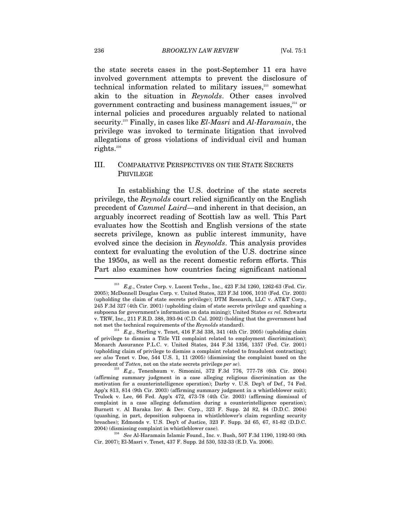the state secrets cases in the post-September 11 era have involved government attempts to prevent the disclosure of technical information related to military issues,<sup>213</sup> somewhat akin to the situation in *Reynolds*. Other cases involved government contracting and business management issues, $214$  or internal policies and procedures arguably related to national security.215 Finally, in cases like *El-Masri* and *Al-Haramain*, the privilege was invoked to terminate litigation that involved allegations of gross violations of individual civil and human rights. $216$ 

# III. COMPARATIVE PERSPECTIVES ON THE STATE SECRETS PRIVILEGE

In establishing the U.S. doctrine of the state secrets privilege, the *Reynolds* court relied significantly on the English precedent of *Cammel Laird*—and inherent in that decision, an arguably incorrect reading of Scottish law as well. This Part evaluates how the Scottish and English versions of the state secrets privilege, known as public interest immunity, have evolved since the decision in *Reynolds*. This analysis provides context for evaluating the evolution of the U.S. doctrine since the 1950s, as well as the recent domestic reform efforts. This Part also examines how countries facing significant national I

<sup>213</sup> *E.g.*, Crater Corp. v. Lucent Techs., Inc., 423 F.3d 1260, 1262-63 (Fed. Cir. 2005); McDonnell Douglas Corp. v. United States, 323 F.3d 1006, 1010 (Fed. Cir. 2003) (upholding the claim of state secrets privilege); DTM Research, LLC v. AT&T Corp., 245 F.3d 327 (4th Cir. 2001) (upholding claim of state secrets privilege and quashing a subpoena for government's information on data mining); United States *ex rel.* Schwartz v. TRW, Inc., 211 F.R.D. 388, 393-94 (C.D. Cal. 2002) (holding that the government had not met the technical requirements of the *Reynolds* standard).<br><sup>214</sup> E.g., Sterling v. Tenet, 416 F.3d 338, 341 (4th Cir. 2005) (upholding claim

of privilege to dismiss a Title VII complaint related to employment discrimination); Monarch Assurance P.L.C. v. United States, 244 F.3d 1356, 1357 (Fed. Cir. 2001) (upholding claim of privilege to dismiss a complaint related to fraudulent contracting); *see also* Tenet v. Doe, 544 U.S. 1, 11 (2005) (dismissing the complaint based on the

<sup>&</sup>lt;sup>215</sup> E.g., Tenenbaum v. Simonini, 372 F.3d 776, 777-78 (6th Cir. 2004) (affirming summary judgment in a case alleging religious discrimination as the motivation for a counterintelligence operation); Darby v. U.S. Dep't of Def., 74 Fed. App'x 813, 814 (9th Cir. 2003) (affirming summary judgment in a whistleblower suit); Trulock v. Lee, 66 Fed. App'x 472, 473-78 (4th Cir. 2003) (affirming dismissal of complaint in a case alleging defamation during a counterintelligence operation); Burnett v. Al Baraka Inv. & Dev. Corp., 323 F. Supp. 2d 82, 84 (D.D.C. 2004) (quashing, in part, deposition subpoena in whistleblower's claim regarding security breaches); Edmonds v. U.S. Dep't of Justice, 323 F. Supp. 2d 65, 67, 81-82 (D.D.C.

<sup>2004) (</sup>dismissing complaint in whistleblower case). 216 *See* Al-Haramain Islamic Found., Inc. v. Bush, 507 F.3d 1190, 1192-93 (9th Cir. 2007); El-Masri v. Tenet, 437 F. Supp. 2d 530, 532-33 (E.D. Va. 2006).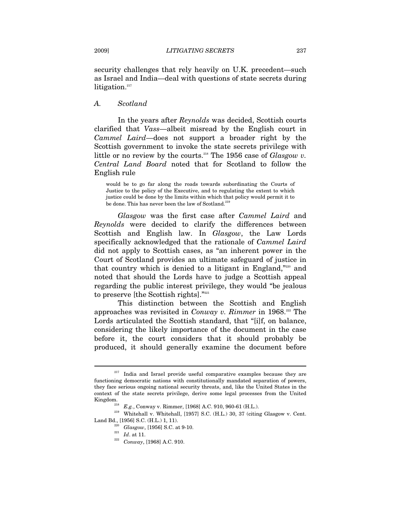security challenges that rely heavily on U.K. precedent—such as Israel and India—deal with questions of state secrets during litigation.<sup>217</sup>

#### *A. Scotland*

In the years after *Reynolds* was decided, Scottish courts clarified that *Vass*—albeit misread by the English court in *Cammel Laird*—does not support a broader right by the Scottish government to invoke the state secrets privilege with little or no review by the courts.<sup>218</sup> The 1956 case of *Glasgow v. Central Land Board* noted that for Scotland to follow the English rule

would be to go far along the roads towards subordinating the Courts of Justice to the policy of the Executive, and to regulating the extent to which justice could be done by the limits within which that policy would permit it to be done. This has never been the law of Scotland.<sup>219</sup>

*Glasgow* was the first case after *Cammel Laird* and *Reynolds* were decided to clarify the differences between Scottish and English law. In *Glasgow*, the Law Lords specifically acknowledged that the rationale of *Cammel Laird* did not apply to Scottish cases, as "an inherent power in the Court of Scotland provides an ultimate safeguard of justice in that country which is denied to a litigant in England,"220 and noted that should the Lords have to judge a Scottish appeal regarding the public interest privilege, they would "be jealous to preserve [the Scottish rights]."<sup>221</sup>

This distinction between the Scottish and English approaches was revisited in *Conway v. Rimmer* in 1968.<sup>222</sup> The Lords articulated the Scottish standard, that "[i]f, on balance, considering the likely importance of the document in the case before it, the court considers that it should probably be produced, it should generally examine the document before

 $217$  India and Israel provide useful comparative examples because they are functioning democratic nations with constitutionally mandated separation of powers, they face serious ongoing national security threats, and, like the United States in the context of the state secrets privilege, derive some legal processes from the United Kingdom.<br> $$E.g.,$  Conway v. Rimmer, [1968] A.C. 910, 960-61 (H.L.).

<sup>&</sup>lt;sup>219</sup> Whitehall v. Whitehall, [1957] S.C. (H.L.) 30, 37 (citing Glasgow v. Cent. Land Bd., [1956] S.C. (H.L.) 1, 11). 220 *Glasgow*, [1956] S.C. at 9-10. 221 *Id*. at 11. 222 *Conway*, [1968] A.C. 910.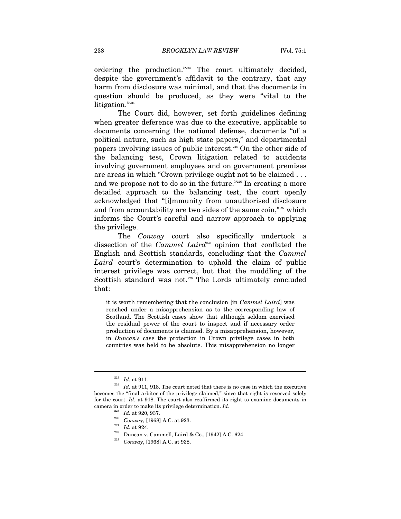ordering the production."223 The court ultimately decided, despite the government's affidavit to the contrary, that any harm from disclosure was minimal, and that the documents in question should be produced, as they were "vital to the litigation."224

The Court did, however, set forth guidelines defining when greater deference was due to the executive, applicable to documents concerning the national defense, documents "of a political nature, such as high state papers," and departmental papers involving issues of public interest.225 On the other side of the balancing test, Crown litigation related to accidents involving government employees and on government premises are areas in which "Crown privilege ought not to be claimed . . . and we propose not to do so in the future."226 In creating a more detailed approach to the balancing test, the court openly acknowledged that "[i]mmunity from unauthorised disclosure and from accountability are two sides of the same coin,"227 which informs the Court's careful and narrow approach to applying the privilege.

The *Conway* court also specifically undertook a dissection of the *Cammel Laird*228 opinion that conflated the English and Scottish standards, concluding that the *Cammel Laird* court's determination to uphold the claim of public interest privilege was correct, but that the muddling of the Scottish standard was not.<sup>229</sup> The Lords ultimately concluded that:

it is worth remembering that the conclusion [in *Cammel Laird*] was reached under a misapprehension as to the corresponding law of Scotland. The Scottish cases show that although seldom exercised the residual power of the court to inspect and if necessary order production of documents is claimed. By a misapprehension, however, in *Duncan's* case the protection in Crown privilege cases in both countries was held to be absolute. This misapprehension no longer

 $I\!d.$  at 911. 224  $I\!d.$  at 911, 918. The court noted that there is no case in which the executive becomes the "final arbiter of the privilege claimed," since that right is reserved solely for the court. *Id.* at 918. The court also reaffirmed its right to examine documents in camera in order to make its privilege determination. *Id.*  $^{225}$  *Id.* at 920, 937.

<sup>&</sup>lt;sup>226</sup> *Conway*, [1968] A.C. at 923.<br><sup>227</sup> *Id.* at 924.<br><sup>228</sup> Duncan v. Cammell, Laird & Co., [1942] A.C. 624.

<sup>229</sup> *Conway*, [1968] A.C. at 938.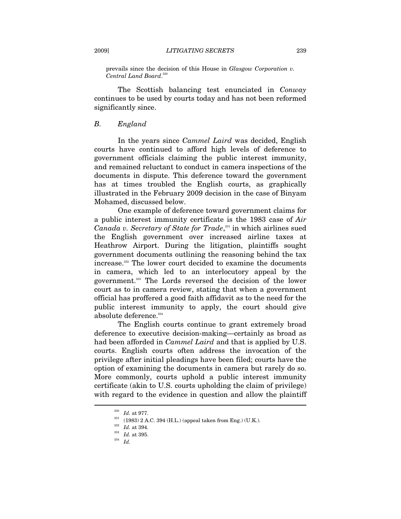prevails since the decision of this House in *Glasgow Corporation v. Central Land Board*. 230

The Scottish balancing test enunciated in *Conway* continues to be used by courts today and has not been reformed significantly since.

# *B. England*

In the years since *Cammel Laird* was decided, English courts have continued to afford high levels of deference to government officials claiming the public interest immunity, and remained reluctant to conduct in camera inspections of the documents in dispute. This deference toward the government has at times troubled the English courts, as graphically illustrated in the February 2009 decision in the case of Binyam Mohamed, discussed below.

One example of deference toward government claims for a public interest immunity certificate is the 1983 case of *Air Canada v. Secretary of State for Trade*, 231 in which airlines sued the English government over increased airline taxes at Heathrow Airport. During the litigation, plaintiffs sought government documents outlining the reasoning behind the tax increase.232 The lower court decided to examine the documents in camera, which led to an interlocutory appeal by the government.233 The Lords reversed the decision of the lower court as to in camera review, stating that when a government official has proffered a good faith affidavit as to the need for the public interest immunity to apply, the court should give absolute deference.<sup>234</sup>

The English courts continue to grant extremely broad deference to executive decision-making—certainly as broad as had been afforded in *Cammel Laird* and that is applied by U.S. courts. English courts often address the invocation of the privilege after initial pleadings have been filed; courts have the option of examining the documents in camera but rarely do so. More commonly, courts uphold a public interest immunity certificate (akin to U.S. courts upholding the claim of privilege) with regard to the evidence in question and allow the plaintiff  $\overline{a}$ 

<sup>&</sup>lt;sup>230</sup> *Id.* at 977.<br>
<sup>231</sup> (1983) 2 A.C. 394 (H.L.) (appeal taken from Eng.) (U.K.).<br>
<sup>232</sup> *Id.* at 395.<br> *Id.* at 395.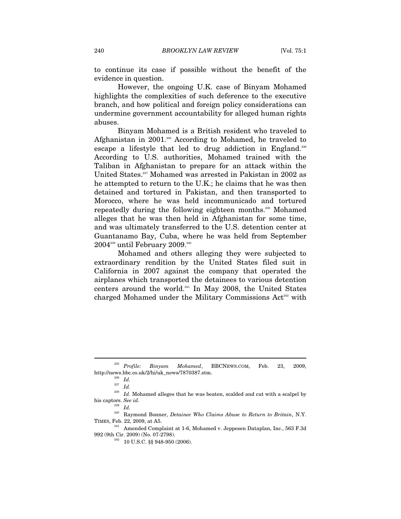to continue its case if possible without the benefit of the evidence in question.

However, the ongoing U.K. case of Binyam Mohamed highlights the complexities of such deference to the executive branch, and how political and foreign policy considerations can undermine government accountability for alleged human rights abuses.

Binyam Mohamed is a British resident who traveled to Afghanistan in 2001.<sup>235</sup> According to Mohamed, he traveled to escape a lifestyle that led to drug addiction in England.<sup>236</sup> According to U.S. authorities, Mohamed trained with the Taliban in Afghanistan to prepare for an attack within the United States.237 Mohamed was arrested in Pakistan in 2002 as he attempted to return to the U.K.; he claims that he was then detained and tortured in Pakistan, and then transported to Morocco, where he was held incommunicado and tortured repeatedly during the following eighteen months.238 Mohamed alleges that he was then held in Afghanistan for some time, and was ultimately transferred to the U.S. detention center at Guantanamo Bay, Cuba, where he was held from September 2004<sup>239</sup> until February 2009.<sup>240</sup>

Mohamed and others alleging they were subjected to extraordinary rendition by the United States filed suit in California in 2007 against the company that operated the airplanes which transported the detainees to various detention centers around the world.241 In May 2008, the United States charged Mohamed under the Military Commissions  $Act<sup>242</sup>$  with

 $\overline{a}$ 

240 Raymond Bonner, *Detainee Who Claims Abuse to Return to Britain*, N.Y. TIMES, Feb. 22, 2009, at A5. 241 Amended Complaint at 1-6, Mohamed v. Jeppesen Dataplan, Inc., 563 F.3d

992 (9th Cir. 2009) (No. 07-2798).<br><sup>242</sup> 10 U.S.C. §§ 948-950 (2006).

<sup>235</sup> *Profile: Binyam Mohamed*, BBCNEWS.COM, Feb. 23, 2009, http://news.bbc.co.uk/2/hi/uk\_news/7870387.stm. 236 *Id.*

 $^{237}$  *Id.* 

 $^{238}$   $\,$   $Id.$  Mohamed alleges that he was beaten, scalded and cut with a scalpel by his captors. *See id.*

<sup>239</sup> *Id.*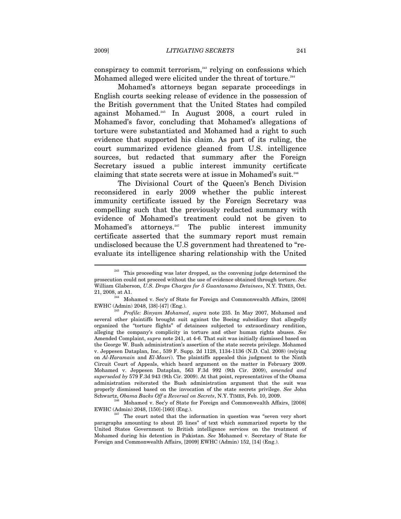conspiracy to commit terrorism,<sup>243</sup> relying on confessions which Mohamed alleged were elicited under the threat of torture.<sup>244</sup>

Mohamed's attorneys began separate proceedings in English courts seeking release of evidence in the possession of the British government that the United States had compiled against Mohamed.245 In August 2008, a court ruled in Mohamed's favor, concluding that Mohamed's allegations of torture were substantiated and Mohamed had a right to such evidence that supported his claim. As part of its ruling, the court summarized evidence gleaned from U.S. intelligence sources, but redacted that summary after the Foreign Secretary issued a public interest immunity certificate claiming that state secrets were at issue in Mohamed's suit.246

The Divisional Court of the Queen's Bench Division reconsidered in early 2009 whether the public interest immunity certificate issued by the Foreign Secretary was compelling such that the previously redacted summary with evidence of Mohamed's treatment could not be given to Mohamed's attorneys.<sup>247</sup> The public interest immunity certificate asserted that the summary report must remain undisclosed because the U.S government had threatened to "reevaluate its intelligence sharing relationship with the United

 $243$  This proceeding was later dropped, as the convening judge determined the prosecution could not proceed without the use of evidence obtained through torture. *See* William Glaberson, *U.S. Drops Charges for 5 Guantanamo Detainees*, N.Y. TIMES, Oct. 21, 2008, at A1.  $^{244}$  Mohamed v. Sec'y of State for Foreign and Commonwealth Affairs, [2008]

EWHC (Admin) 2048, [38]-[47] (Eng.). 245 *Profile: Binyam Mohamed*, *supra* note 235. In May 2007, Mohamed and

several other plaintiffs brought suit against the Boeing subsidiary that allegedly organized the "torture flights" of detainees subjected to extraordinary rendition, alleging the company's complicity in torture and other human rights abuses. *See*  Amended Complaint, *supra* note 241, at 4-6. That suit was initially dismissed based on the George W. Bush administration's assertion of the state secrets privilege. Mohamed v. Jeppesen Dataplan, Inc., 539 F. Supp. 2d 1128, 1134-1136 (N.D. Cal. 2008) (relying on *Al-Haramain* and *El-Masri*). The plaintiffs appealed this judgment to the Ninth Circuit Court of Appeals, which heard argument on the matter in February 2009. Mohamed v. Jeppesen Dataplan, 563 F.3d 992 (9th Cir. 2009), *amended and superseded by* 579 F.3d 943 (9th Cir. 2009). At that point, representatives of the Obama administration reiterated the Bush administration argument that the suit was properly dismissed based on the invocation of the state secrets privilege. *See* John Schwartz, *Obama Backs Off a Reversal on Secrets*, N.Y. TIMES, Feb. 10, 2009.<br><sup>246</sup> Mohamed v. Sec'y of State for Foreign and Commonwealth Affairs, [2008]

EWHC (Admin) 2048, [150]-[160] (Eng.).  $\frac{247}{47}$  The court noted that the information in question was "seven very short

paragraphs amounting to about 25 lines" of text which summarized reports by the United States Government to British intelligence services on the treatment of Mohamed during his detention in Pakistan. *See* Mohamed v. Secretary of State for Foreign and Commonwealth Affairs, [2009] EWHC (Admin) 152, [14] (Eng.).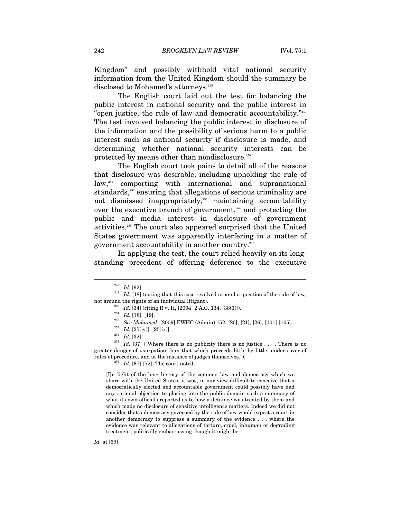Kingdom" and possibly withhold vital national security information from the United Kingdom should the summary be disclosed to Mohamed's attorneys.<sup>248</sup>

The English court laid out the test for balancing the public interest in national security and the public interest in "open justice, the rule of law and democratic accountability."249 The test involved balancing the public interest in disclosure of the information and the possibility of serious harm to a public interest such as national security if disclosure is made, and determining whether national security interests can be protected by means other than nondisclosure.250

The English court took pains to detail all of the reasons that disclosure was desirable, including upholding the rule of law,<sup>251</sup> comporting with international and supranational standards,<sup>252</sup> ensuring that allegations of serious criminality are not dismissed inappropriately,<sup>253</sup> maintaining accountability over the executive branch of government, $254$  and protecting the public and media interest in disclosure of government activities.255 The court also appeared surprised that the United States government was apparently interfering in a matter of government accountability in another country.256

In applying the test, the court relied heavily on its longstanding precedent of offering deference to the executive

 $\overline{a}$ 

[I]n light of the long history of the common law and democracy which we share with the United States, it was, in our view difficult to conceive that a democratically elected and accountable government could possibly have had any rational objection to placing into the public domain such a summary of what its own officials reported as to how a detainee was treated by them and which made no disclosure of sensitive intelligence matters. Indeed we did not consider that a democracy governed by the rule of law would expect a court in another democracy to suppress a summary of the evidence . . . where the evidence was relevant to allegations of torture, cruel, inhuman or degrading treatment, politically embarrassing though it might be.

*Id.* at [69].

<sup>248</sup> *Id.* [62]. 249 *Id.* [18] (noting that this case revolved around a question of the rule of law,

not around the rights of an individual litigant).<br>
<sup>250</sup> *Id.* [34] (citing R v. H, [2004] 2 A.C. 134, [38(3)]).<br>
<sup>251</sup> *Id.* [18], [19].<br>
<sup>252</sup> *See Mohamed*, [2009] EWHC (Admin) 152, [20], [21], [26], [101]-[105].<br>
<sup>253</sup> greater danger of usurpation than that which proceeds little by little, under cover of rules of procedure, and at the instance of judges themselves."). 256 *Id.* [67]-[72]. The court noted: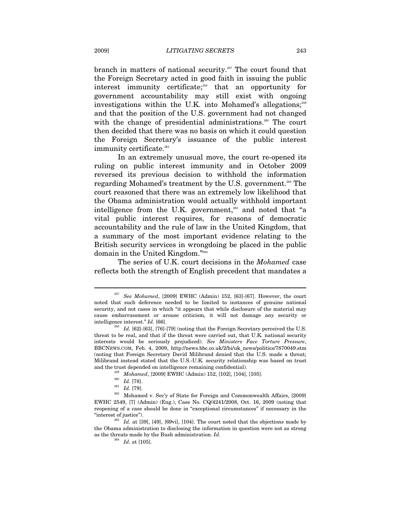branch in matters of national security.<sup>257</sup> The court found that the Foreign Secretary acted in good faith in issuing the public interest immunity certificate;<sup>258</sup> that an opportunity for government accountability may still exist with ongoing investigations within the U.K. into Mohamed's allegations;<sup>259</sup> and that the position of the U.S. government had not changed with the change of presidential administrations.<sup>260</sup> The court then decided that there was no basis on which it could question the Foreign Secretary's issuance of the public interest immunity certificate.<sup>261</sup>

In an extremely unusual move, the court re-opened its ruling on public interest immunity and in October 2009 reversed its previous decision to withhold the information regarding Mohamed's treatment by the U.S. government.<sup>262</sup> The court reasoned that there was an extremely low likelihood that the Obama administration would actually withhold important intelligence from the U.K. government, $263$  and noted that "a vital public interest requires, for reasons of democratic accountability and the rule of law in the United Kingdom, that a summary of the most important evidence relating to the British security services in wrongdoing be placed in the public domain in the United Kingdom."264

The series of U.K. court decisions in the *Mohamed* case reflects both the strength of English precedent that mandates a

<sup>257</sup> *See Mohamed*, [2009] EWHC (Admin) 152, [63]-[67]. However, the court noted that such deference needed to be limited to instances of genuine national security, and not cases in which "it appears that while disclosure of the material may cause embarrassment or arouse criticism, it will not damage any security or

intelligence interest." *Id.* [66]. 258 *Id.* [62]-[63], [76]-[79] (noting that the Foreign Secretary perceived the U.S. threat to be real, and that if the threat were carried out, that U.K. national security interests would be seriously prejudiced). *See Ministers Face Torture Pressure*, BBCNEWS.COM, Feb. 4, 2009, http://news.bbc.co.uk/2/hi/uk\_news/politics/7870049.stm (noting that Foreign Secretary David Milibrand denied that the U.S. made a threat; Milibrand instead stated that the U.S.-U.K. security relationship was based on trust

<sup>&</sup>lt;sup>259</sup> Mohamed, [2009] EWHC (Admin) 152, [102], [104], [105].<br><sup>260</sup> Id. [78].<br><sup>261</sup> Id. [79].<br><sup>261</sup> Id. [79].<br>Mohamed v. Sec'y of State for Foreign and Commonwealth Affairs, [2009] EWHC 2549, [7] (Admin) (Eng.), Case No. CQ/4241/2008, Oct. 16, 2009 (noting that reopening of a case should be done in "exceptional circumstances" if necessary in the

<sup>&</sup>quot;interest of justice"). 263 *Id.* at [39], [49], [69vi], [104]. The court noted that the objections made by the Obama administration to disclosing the information in question were not as strong as the threats made by the Bush administration. *Id.* 

<sup>264</sup> *Id.* at [105].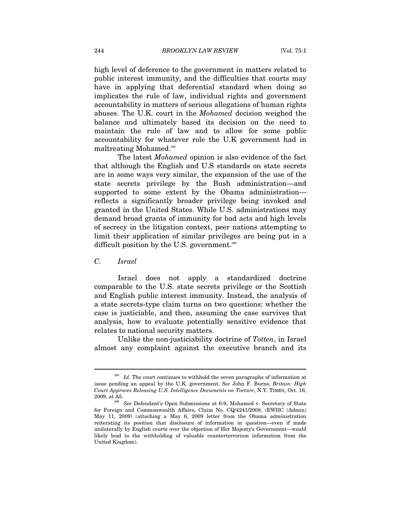high level of deference to the government in matters related to public interest immunity, and the difficulties that courts may have in applying that deferential standard when doing so implicates the rule of law, individual rights and government accountability in matters of serious allegations of human rights abuses. The U.K. court in the *Mohamed* decision weighed the balance and ultimately based its decision on the need to maintain the rule of law and to allow for some public accountability for whatever role the U.K government had in maltreating Mohamed.<sup>265</sup>

The latest *Mohamed* opinion is also evidence of the fact that although the English and U.S standards on state secrets are in some ways very similar, the expansion of the use of the state secrets privilege by the Bush administration—and supported to some extent by the Obama administration reflects a significantly broader privilege being invoked and granted in the United States. While U.S. administrations may demand broad grants of immunity for bad acts and high levels of secrecy in the litigation context, peer nations attempting to limit their application of similar privileges are being put in a difficult position by the U.S. government.<sup>266</sup>

*C. Israel* 

 $\overline{a}$ 

Israel does not apply a standardized doctrine comparable to the U.S. state secrets privilege or the Scottish and English public interest immunity. Instead, the analysis of a state secrets-type claim turns on two questions: whether the case is justiciable, and then, assuming the case survives that analysis, how to evaluate potentially sensitive evidence that relates to national security matters.

Unlike the non-justiciability doctrine of *Totten*, in Israel almost any complaint against the executive branch and its

<sup>&</sup>lt;sup>265</sup> *Id.* The court continues to withhold the seven paragraphs of information at issue pending an appeal by the U.K. government. *See* John F. Burns, *Britain: High Court Approves Releasing U.S. Intelligence Documents on Torture*, N.Y. TIMES, Oct. 16, 2009, at A5. 266 *See* Defendant's Open Submissions at 6-9, Mohamed v. Secretary of State

for Foreign and Commonwealth Affairs, Claim No. CQ/4241/2008, (EWHC (Admin) May 11, 2009) (attaching a May 6, 2009 letter from the Obama administration reiterating its position that disclosure of information in question—even if made unilaterally by English courts over the objection of Her Majesty's Government—would likely lead to the withholding of valuable counterterrorism information from the United Kingdom).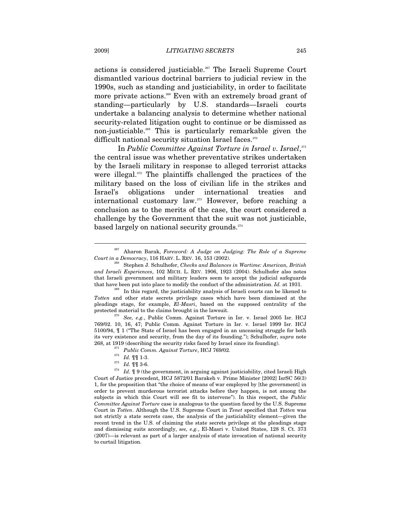actions is considered justiciable.267 The Israeli Supreme Court dismantled various doctrinal barriers to judicial review in the 1990s, such as standing and justiciability, in order to facilitate more private actions.<sup>268</sup> Even with an extremely broad grant of standing—particularly by U.S. standards—Israeli courts undertake a balancing analysis to determine whether national security-related litigation ought to continue or be dismissed as non-justiciable.269 This is particularly remarkable given the difficult national security situation Israel faces.<sup>270</sup>

In *Public Committee Against Torture in Israel v. Israel*, 271 the central issue was whether preventative strikes undertaken by the Israeli military in response to alleged terrorist attacks were illegal.<sup>272</sup> The plaintiffs challenged the practices of the military based on the loss of civilian life in the strikes and Israel's obligations under international treaties and international customary law.273 However, before reaching a conclusion as to the merits of the case, the court considered a challenge by the Government that the suit was not justiciable, based largely on national security grounds.<sup>274</sup>

<sup>267</sup> Aharon Barak, *Foreword: A Judge on Judging: The Role of a Supreme Court in a Democracy*, 116 HARV. L. REV. 16, 153 (2002).<br><sup>268</sup> Stephen J. Schulhofer, *Checks and Balances in Wartime: American, British* 

*and Israeli Experiences*, 102 MICH. L. REV. 1906, 1923 (2004). Schulhofer also notes that Israeli government and military leaders seem to accept the judicial safeguards that have been put into place to modify the conduct of the administration.  $Id$ . at 1931.

<sup>&</sup>lt;sup>39</sup> In this regard, the justiciability analysis of Israeli courts can be likened to *Totten* and other state secrets privilege cases which have been dismissed at the pleadings stage, for example, *El-Masri*, based on the supposed centrality of the protected material to the claims brought in the lawsuit. 270 *See, e.g.*, Public Comm. Against Torture in Isr. v. Israel 2005 Isr. HCJ

<sup>769/02. 10, 16, 47;</sup> Public Comm. Against Torture in Isr. v. Israel 1999 Isr. HCJ 5100/94, ¶ 1 ("The State of Israel has been engaged in an unceasing struggle for both its very existence and security, from the day of its founding."); Schulhofer, *supra* note

<sup>268,</sup> at 1919 (describing the security risks faced by Israel since its founding).<br><sup>271</sup> *Public Comm. Against Torture*, HCJ 769/02.<br><sup>272</sup> *Id.*  $\P$  **1** 1-3.<br><sup>273</sup> *Id.*  $\P$  **1** 3-6.<br><sup>274</sup> *Id.*  $\P$  9 (the government, in ar Court of Justice precedent, HCJ 5872/01 Barakeh v. Prime Minister [2002] IsrSC 56(3) 1, for the proposition that "the choice of means of war employed by [the government] in order to prevent murderous terrorist attacks before they happen, is not among the subjects in which this Court will see fit to intervene"). In this respect, the *Public Committee Against Torture* case is analogous to the question faced by the U.S. Supreme Court in *Totten*. Although the U.S. Supreme Court in *Tenet* specified that *Totten* was not strictly a state secrets case, the analysis of the justiciability element—given the recent trend in the U.S. of claiming the state secrets privilege at the pleadings stage and dismissing suits accordingly, *see, e.g.*, El-Masri v. United States, 128 S. Ct. 373 (2007)—is relevant as part of a larger analysis of state invocation of national security to curtail litigation.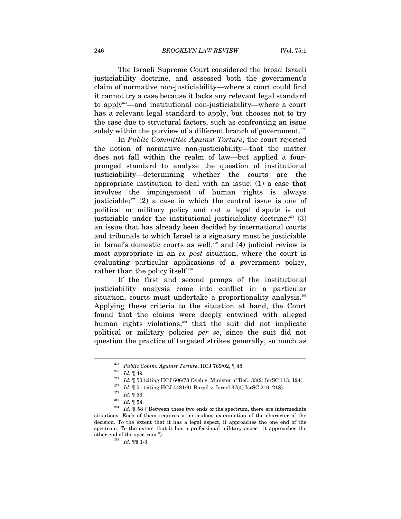The Israeli Supreme Court considered the broad Israeli justiciability doctrine, and assessed both the government's claim of normative non-justiciability—where a court could find it cannot try a case because it lacks any relevant legal standard to apply275—and institutional non-justiciability—where a court has a relevant legal standard to apply, but chooses not to try the case due to structural factors, such as confronting an issue solely within the purview of a different branch of government.<sup>276</sup>

In *Public Committee Against Torture*, the court rejected the notion of normative non-justiciability—that the matter does not fall within the realm of law—but applied a fourpronged standard to analyze the question of institutional justiciability—determining whether the courts are the appropriate institution to deal with an issue: (1) a case that involves the impingement of human rights is always justiciable;<sup>277</sup> (2) a case in which the central issue is one of political or military policy and not a legal dispute is not justiciable under the institutional justiciability doctrine; $^{278}$  (3) an issue that has already been decided by international courts and tribunals to which Israel is a signatory must be justiciable in Israel's domestic courts as well;<sup>279</sup> and (4) judicial review is most appropriate in an *ex post* situation, where the court is evaluating particular applications of a government policy, rather than the policy itself.<sup>280</sup>

If the first and second prongs of the institutional justiciability analysis come into conflict in a particular situation, courts must undertake a proportionality analysis.<sup>281</sup> Applying these criteria to the situation at hand, the Court found that the claims were deeply entwined with alleged human rights violations;<sup>282</sup> that the suit did not implicate political or military policies *per se*, since the suit did not question the practice of targeted strikes generally, so much as

<sup>&</sup>lt;sup>275</sup> Public Comm. Against Torture, HCJ 769/02,  $\P$  48.<br><sup>276</sup> Id.  $\P$  49.<br><sup>277</sup> Id.  $\P$  50 (citing HCJ 606/78 Oyeb v. Minister of Def., 33(2) IsrSC 113, 124).<br><sup>278</sup> Id.  $\P$  51 (citing HCJ 4481/91 Bargil v. Israel 37(4) Is situations. Each of them requires a meticulous examination of the character of the decision. To the extent that it has a legal aspect, it approaches the one end of the spectrum. To the extent that it has a professional military aspect, it approaches the % other end of the spectrum.").  $^{282}$   $\,$   $Id.$   $\mathbb{I}\mathbb{I}$  1-3.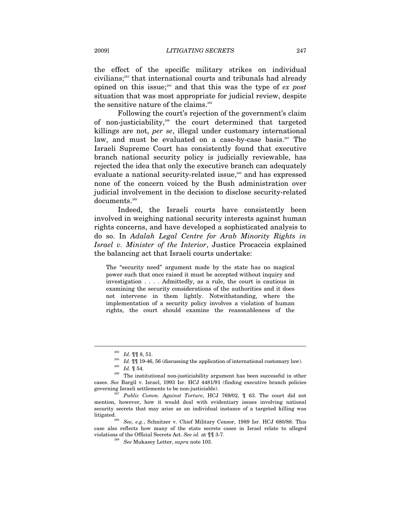the effect of the specific military strikes on individual civilians;283 that international courts and tribunals had already opined on this issue;284 and that this was the type of *ex post* situation that was most appropriate for judicial review, despite the sensitive nature of the claims.<sup>285</sup>

Following the court's rejection of the government's claim of non-justiciability,286 the court determined that targeted killings are not, *per se*, illegal under customary international law, and must be evaluated on a case-by-case basis.<sup>287</sup> The Israeli Supreme Court has consistently found that executive branch national security policy is judicially reviewable, has rejected the idea that only the executive branch can adequately evaluate a national security-related issue,<sup>288</sup> and has expressed none of the concern voiced by the Bush administration over judicial involvement in the decision to disclose security-related documents.<sup>289</sup>

Indeed, the Israeli courts have consistently been involved in weighing national security interests against human rights concerns, and have developed a sophisticated analysis to do so. In *Adalah Legal Centre for Arab Minority Rights in Israel v. Minister of the Interior*, Justice Procaccia explained the balancing act that Israeli courts undertake:

The "security need" argument made by the state has no magical power such that once raised it must be accepted without inquiry and investigation . . . . Admittedly, as a rule, the court is cautious in examining the security considerations of the authorities and it does not intervene in them lightly. Notwithstanding, where the implementation of a security policy involves a violation of human rights, the court should examine the reasonableness of the

<sup>&</sup>lt;sup>283</sup> *Id.* ¶¶ 8, 51.<br><sup>284</sup> *Id.* ¶¶ 19-46, 56 (discussing the application of international customary law).<br><sup>285</sup> *Id.* ¶ 54.<br><sup>286</sup> The institutional non-justiciability argument has been successful in other cases. *See* Bargil v. Israel, 1993 Isr. HCJ 4481/91 (finding executive branch policies

 $U^7$  Public Comm. Against Torture, HCJ 769/02,  $\P$  63. The court did not mention, however, how it would deal with evidentiary issues involving national security secrets that may arise as an individual instance of a targeted killing was litigated. 288 *See, e.g.*, Schnitzer v. Chief Military Censor, 1989 Isr. HCJ 680/88. This

case also reflects how many of the state secrets cases in Israel relate to alleged violations of the Official Secrets Act. *See id.* at ¶¶ 3-7. 289 *See* Mukasey Letter, *supra* note 103.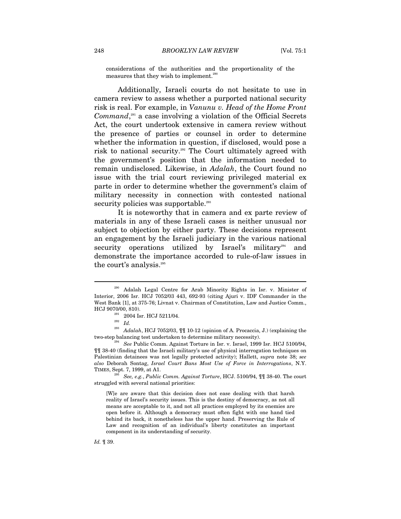considerations of the authorities and the proportionality of the measures that they wish to implement.<sup>290</sup>

Additionally, Israeli courts do not hesitate to use in camera review to assess whether a purported national security risk is real. For example, in *Vanunu v. Head of the Home Front*  Command,<sup>291</sup> a case involving a violation of the Official Secrets Act, the court undertook extensive in camera review without the presence of parties or counsel in order to determine whether the information in question, if disclosed, would pose a risk to national security.<sup>292</sup> The Court ultimately agreed with the government's position that the information needed to remain undisclosed. Likewise, in *Adalah*, the Court found no issue with the trial court reviewing privileged material ex parte in order to determine whether the government's claim of military necessity in connection with contested national security policies was supportable.<sup>293</sup>

It is noteworthy that in camera and ex parte review of materials in any of these Israeli cases is neither unusual nor subject to objection by either party. These decisions represent an engagement by the Israeli judiciary in the various national security operations utilized by Israel's military<sup>294</sup> and demonstrate the importance accorded to rule-of-law issues in the court's analysis.<sup>295</sup>

 $\overline{a}$ 

<sup>293</sup> *Adalah*, HCJ 7052/03, ¶¶ 10-12 (opinion of A. Procaccia, J.) (explaining the

<sup>290</sup> Adalah Legal Centre for Arab Minority Rights in Isr. v. Minister of Interior, 2006 Isr. HCJ 7052/03 443, 692-93 (citing Ajuri v. IDF Commander in the West Bank [1], at 375-76; Livnat v. Chairman of Constitution, Law and Justice Comm., HCJ 9070/00, 810). <br>  $\begin{array}{r} \text { 2004 Isr. HCl 5211/04.} \\ \text { 292 } \text { 2004 Isr. HCl 5211/04.} \\ \text { 101 } \end{array}$ 

two-step balancing test undertaken to determine military necessity). 294 *See* Public Comm. Against Torture in Isr. v. Israel, 1999 Isr. HCJ 5100/94, ¶¶ 38-40 (finding that the Israeli military's use of physical interrogation techniques on Palestinian detainees was not legally protected activity); Hallett, *supra* note 38; *see also* Deborah Sontag, *Israel Court Bans Most Use of Force in Interrogations*, N.Y.

TIMES, Sept. 7, 1999, at A1. 295 *See, e.g.*, *Public Comm. Against Torture*, HCJ. 5100/94, ¶¶ 38-40. The court struggled with several national priorities:

<sup>[</sup>W]e are aware that this decision does not ease dealing with that harsh reality of Israel's security issues. This is the destiny of democracy, as not all means are acceptable to it, and not all practices employed by its enemies are open before it. Although a democracy must often fight with one hand tied behind its back, it nonetheless has the upper hand. Preserving the Rule of Law and recognition of an individual's liberty constitutes an important component in its understanding of security.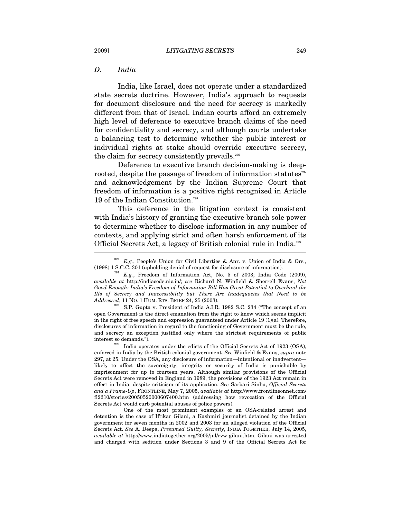# *D. India*

India, like Israel, does not operate under a standardized state secrets doctrine. However, India's approach to requests for document disclosure and the need for secrecy is markedly different from that of Israel. Indian courts afford an extremely high level of deference to executive branch claims of the need for confidentiality and secrecy, and although courts undertake a balancing test to determine whether the public interest or individual rights at stake should override executive secrecy, the claim for secrecy consistently prevails.<sup>296</sup>

Deference to executive branch decision-making is deeprooted, despite the passage of freedom of information statutes $297$ and acknowledgement by the Indian Supreme Court that freedom of information is a positive right recognized in Article 19 of the Indian Constitution.<sup>298</sup>

This deference in the litigation context is consistent with India's history of granting the executive branch sole power to determine whether to disclose information in any number of contexts, and applying strict and often harsh enforcement of its Official Secrets Act, a legacy of British colonial rule in India.299

*Addressed*, 11 No. 1 HUM. RTS. BRIEF 24, 25 (2003).<br><sup>298</sup> S.P. Gupta v. President of India A.I.R. 1982 S.C. 234 ("The concept of an open Government is the direct emanation from the right to know which seems implicit in the right of free speech and expression guaranteed under Article 19  $(1)(a)$ . Therefore, disclosures of information in regard to the functioning of Government must be the rule, and secrecy an exception justified only where the strictest requirements of public interest so demands."). 299 India operates under the edicts of the Official Secrets Act of 1923 (OSA),

enforced in India by the British colonial government. *See* Winfield & Evans, *supra* note 297, at 25. Under the OSA, any disclosure of information—intentional or inadvertent likely to affect the sovereignty, integrity or security of India is punishable by imprisonment for up to fourteen years. Although similar provisions of the Official Secrets Act were removed in England in 1989, the provisions of the 1923 Act remain in effect in India, despite criticism of its application. *See* Sarbari Sinha, *Official Secrets and a Frame-Up*, FRONTLINE, May 7, 2005, *available at* http://www.frontlineonnet.com/ fl2210/stories/20050520000607400.htm (addressing how revocation of the Official Secrets Act would curb potential abuses of police powers).

 One of the most prominent examples of an OSA-related arrest and detention is the case of Iftikar Gilani, a Kashmiri journalist detained by the Indian government for seven months in 2002 and 2003 for an alleged violation of the Official Secrets Act. *See* A. Deepa, *Presumed Guilty, Secretly*, INDIA TOGETHER, July 14, 2005, *available at* http://www.indiatogether.org/2005/jul/rvw-gilani.htm. Gilani was arrested and charged with sedition under Sections 3 and 9 of the Official Secrets Act for

<sup>&</sup>lt;sup>296</sup> E.g., People's Union for Civil Liberties & Anr. v. Union of India & Ors., (1998) 1 S.C.C. 301 (upholding denial of request for disclosure of information).

E.g., Freedom of Information Act, No. 5 of 2003; India Code (2009), *available at* http://indiacode.nic.in/; *see* Richard N. Winfield & Sherrell Evans, *Not Good Enough: India's Freedom of Information Bill Has Great Potential to Overhaul the Ills of Secrecy and Inaccessibility but There Are Inadequacies that Need to be*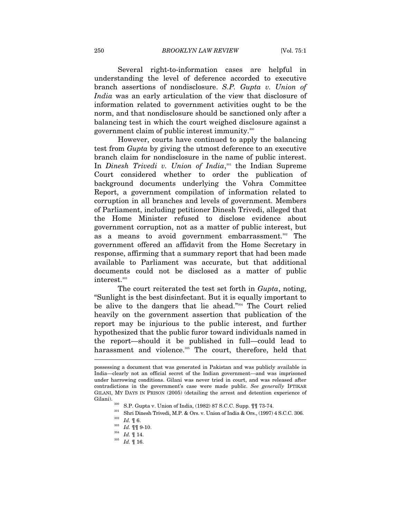Several right-to-information cases are helpful in understanding the level of deference accorded to executive branch assertions of nondisclosure. *S.P. Gupta v. Union of India* was an early articulation of the view that disclosure of information related to government activities ought to be the norm, and that nondisclosure should be sanctioned only after a balancing test in which the court weighed disclosure against a government claim of public interest immunity.300

However, courts have continued to apply the balancing test from *Gupta* by giving the utmost deference to an executive branch claim for nondisclosure in the name of public interest. In *Dinesh Trivedi v. Union of India*,<sup>301</sup> the Indian Supreme Court considered whether to order the publication of background documents underlying the Vohra Committee Report, a government compilation of information related to corruption in all branches and levels of government. Members of Parliament, including petitioner Dinesh Trivedi, alleged that the Home Minister refused to disclose evidence about government corruption, not as a matter of public interest, but as a means to avoid government embarrassment.<sup>302</sup> The government offered an affidavit from the Home Secretary in response, affirming that a summary report that had been made available to Parliament was accurate, but that additional documents could not be disclosed as a matter of public interest.<sup>303</sup>

The court reiterated the test set forth in *Gupta*, noting, "Sunlight is the best disinfectant. But it is equally important to be alive to the dangers that lie ahead."304 The Court relied heavily on the government assertion that publication of the report may be injurious to the public interest, and further hypothesized that the public furor toward individuals named in the report—should it be published in full—could lead to harassment and violence.<sup>305</sup> The court, therefore, held that

possessing a document that was generated in Pakistan and was publicly available in India—clearly not an official secret of the Indian government—and was imprisoned under harrowing conditions. Gilani was never tried in court, and was released after contradictions in the government's case were made public. *See generally* IFTIKAR GILANI, MY DAYS IN PRISON (2005) (detailing the arrest and detention experience of Gilani).<br>
<sup>300</sup> S.P. Gupta v. Union of India, (1982) 87 S.C.C. Supp.  $\P$   $\P$  73-74.<br>
<sup>301</sup> Shri Dinesh Trivedi, M.P. & Ors. v. Union of India & Ors., (1997) 4 S.C.C. 306.<br>
<sup>302</sup> Id.  $\P$  6.<br>
<sup>303</sup> Id.  $\P$   $\P$  9-10.<br>
<sup>304</sup>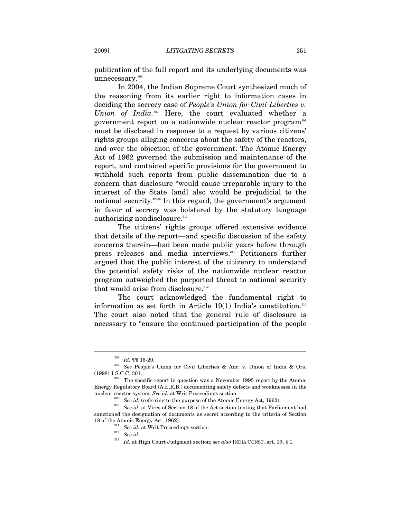publication of the full report and its underlying documents was unnecessary.<sup>306</sup>

In 2004, the Indian Supreme Court synthesized much of the reasoning from its earlier right to information cases in deciding the secrecy case of *People's Union for Civil Liberties v. Union of India.*307 Here, the court evaluated whether a government report on a nationwide nuclear reactor program<sup>308</sup> must be disclosed in response to a request by various citizens' rights groups alleging concerns about the safety of the reactors, and over the objection of the government. The Atomic Energy Act of 1962 governed the submission and maintenance of the report, and contained specific provisions for the government to withhold such reports from public dissemination due to a concern that disclosure "would cause irreparable injury to the interest of the State [and] also would be prejudicial to the national security."309 In this regard, the government's argument in favor of secrecy was bolstered by the statutory language authorizing nondisclosure.<sup>310</sup>

The citizens' rights groups offered extensive evidence that details of the report—and specific discussion of the safety concerns therein—had been made public years before through press releases and media interviews.311 Petitioners further argued that the public interest of the citizenry to understand the potential safety risks of the nationwide nuclear reactor program outweighed the purported threat to national security that would arise from disclosure.<sup>312</sup>

The court acknowledged the fundamental right to information as set forth in Article  $19(1)$  India's constitution.<sup>313</sup> The court also noted that the general rule of disclosure is necessary to "ensure the continued participation of the people

<sup>306</sup> *Id.* ¶¶ 16-20. 307 *See* People's Union for Civil Liberties & Anr. v. Union of India & Ors*.*

<sup>(1998) 1</sup> S.C.C. 301. 308 The specific report in question was a November 1995 report by the Atomic Energy Regulatory Board (A.E.R.B.) documenting safety defects and weaknesses in the

<sup>&</sup>lt;sup>309</sup> See id. (referring to the purpose of the Atomic Energy Act, 1962).<br><sup>310</sup> See id. at Vires of Section 18 of the Act section (noting that Parliament had sanctioned the designation of documents as secret according to the criteria of Section 18 of the Atomic Energy Act, 1962). 311 *See id.* at Writ Proceedings section. 312 *See id.*

 $^{313}$   $\,$   $Id.$  at High Court Judgment section;  $see$   $also$  INDIA CONST. art. 19,  $\S$  1.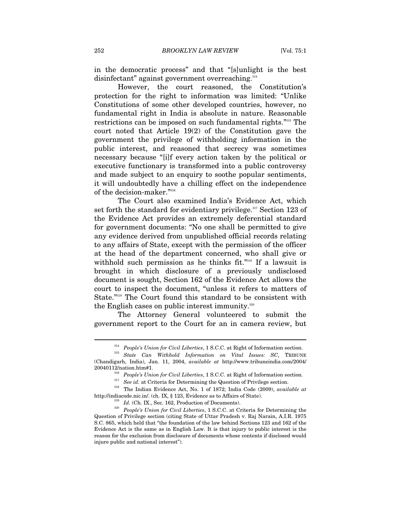in the democratic process" and that "[s]unlight is the best disinfectant" against government overreaching.<sup>314</sup>

However, the court reasoned, the Constitution's protection for the right to information was limited: "Unlike Constitutions of some other developed countries, however, no fundamental right in India is absolute in nature. Reasonable restrictions can be imposed on such fundamental rights."315 The court noted that Article 19(2) of the Constitution gave the government the privilege of withholding information in the public interest, and reasoned that secrecy was sometimes necessary because "[i]f every action taken by the political or executive functionary is transformed into a public controversy and made subject to an enquiry to soothe popular sentiments, it will undoubtedly have a chilling effect on the independence of the decision-maker."316

The Court also examined India's Evidence Act, which set forth the standard for evidentiary privilege.<sup>317</sup> Section 123 of the Evidence Act provides an extremely deferential standard for government documents: "No one shall be permitted to give any evidence derived from unpublished official records relating to any affairs of State, except with the permission of the officer at the head of the department concerned, who shall give or withhold such permission as he thinks fit."<sup>318</sup> If a lawsuit is brought in which disclosure of a previously undisclosed document is sought, Section 162 of the Evidence Act allows the court to inspect the document, "unless it refers to matters of State."319 The Court found this standard to be consistent with the English cases on public interest immunity.<sup>320</sup>

The Attorney General volunteered to submit the government report to the Court for an in camera review, but

<sup>314</sup> *People's Union for Civil Liberties*, 1 S.C.C. at Right of Information section. 315 *State Can Withhold Information on Vital Issues: SC*, TRIBUNE

<sup>(</sup>Chandigarh, India), Jan. 11, 2004, *available at* http://www.tribuneindia.com/2004/

<sup>20040112/</sup>nation.htm#1.<br><sup>316</sup> *People's Union for Civil Liberties*, 1 S.C.C. at Right of Information section.<br><sup>317</sup> *See id.* at Criteria for Determining the Question of Privilege section.<br><sup>318</sup> The Indian Evidence Act, No

http://indiacode.nic.in/. (ch. IX, § 123, Evidence as to Affairs of State). 319 *Id.* (Ch. IX., Sec. 162, Production of Documents). 320 *People's Union for Civil Liberties*, 1 S.C.C. at Criteria for Determining the Question of Privilege section (citing State of Uttar Pradesh v. Raj Narain, A.I.R. 1975 S.C. 865, which held that "the foundation of the law behind Sections 123 and 162 of the Evidence Act is the same as in English Law. It is that injury to public interest is the reason for the exclusion from disclosure of documents whose contents if disclosed would injure public and national interest").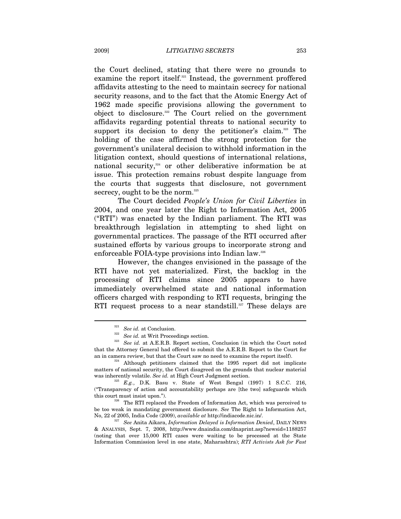the Court declined, stating that there were no grounds to examine the report itself.<sup>321</sup> Instead, the government proffered affidavits attesting to the need to maintain secrecy for national security reasons, and to the fact that the Atomic Energy Act of 1962 made specific provisions allowing the government to object to disclosure.322 The Court relied on the government affidavits regarding potential threats to national security to support its decision to deny the petitioner's claim.<sup>323</sup> The holding of the case affirmed the strong protection for the government's unilateral decision to withhold information in the litigation context, should questions of international relations, national security,<sup>324</sup> or other deliberative information be at issue. This protection remains robust despite language from the courts that suggests that disclosure, not government secrecy, ought to be the norm.<sup>325</sup>

The Court decided *People's Union for Civil Liberties* in 2004, and one year later the Right to Information Act, 2005 ("RTI") was enacted by the Indian parliament. The RTI was breakthrough legislation in attempting to shed light on governmental practices. The passage of the RTI occurred after sustained efforts by various groups to incorporate strong and enforceable FOIA-type provisions into Indian law.326

However, the changes envisioned in the passage of the RTI have not yet materialized. First, the backlog in the processing of RTI claims since 2005 appears to have immediately overwhelmed state and national information officers charged with responding to RTI requests, bringing the RTI request process to a near standstill.<sup>327</sup> These delays are

<sup>321</sup> *See id.* at Conclusion. 322 *See id.* at Writ Proceedings section. 323 *See id.* at A.E.R.B. Report section, Conclusion (in which the Court noted that the Attorney General had offered to submit the A.E.R.B. Report to the Court for

an in camera review, but that the Court saw no need to examine the report itself).<br><sup>324</sup> Although petitioners claimed that the 1995 report did not implicate matters of national security, the Court disagreed on the grounds that nuclear material was inherently volatile. See  $id$ . at High Court Judgment section.

<sup>&</sup>lt;sup>325</sup> E.g., D.K. Basu v. State of West Bengal (1997) 1 S.C.C. 216, ("Transparency of action and accountability perhaps are [the two] safeguards which this court must insist upon.").<br><sup>326</sup> The RTI replaced the Freedom of Information Act, which was perceived to

be too weak in mandating government disclosure. *See* The Right to Information Act, No, 22 of 2005, India Code (2009), *available at* http://indiacode.nic.in/. 327 *See* Anita Aikara, *Information Delayed is Information Denied*, DAILY NEWS

<sup>&</sup>amp; ANALYSIS, Sept. 7, 2008, http://www.dnaindia.com/dnaprint.asp?newsid=1188257 (noting that over 15,000 RTI cases were waiting to be processed at the State Information Commission level in one state, Maharashtra); *RTI Activists Ask for Fast*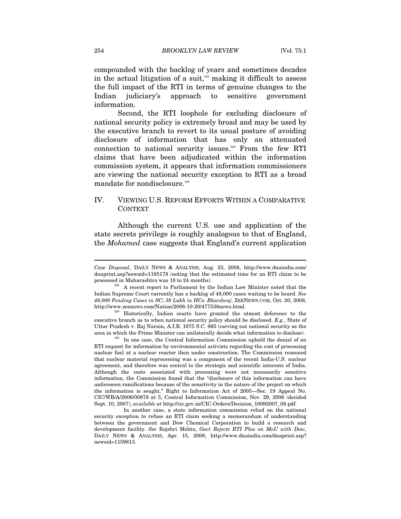compounded with the backlog of years and sometimes decades in the actual litigation of a suit, $328$  making it difficult to assess the full impact of the RTI in terms of genuine changes to the Indian judiciary's approach to sensitive government information.

Second, the RTI loophole for excluding disclosure of national security policy is extremely broad and may be used by the executive branch to revert to its usual posture of avoiding disclosure of information that has only an attenuated connection to national security issues.<sup>329</sup> From the few RTI claims that have been adjudicated within the information commission system, it appears that information commissioners are viewing the national security exception to RTI as a broad mandate for nondisclosure.<sup>330</sup>

# IV. VIEWING U.S. REFORM EFFORTS WITHIN A COMPARATIVE CONTEXT

Although the current U.S. use and application of the state secrets privilege is roughly analogous to that of England, the *Mohamed* case suggests that England's current application

executive branch as to when national security policy should be disclosed. *E.g.*, State of Uttar Pradesh v. Raj Narain, A.I.R. 1975 S.C. 865 (carving out national security as the area in which the Prime Minister can unilaterally decide what information to disclose).<br><sup>330</sup> In one case, the Central Information Commission upheld the denial of an

*Case Disposal*, DAILY NEWS & ANALYSIS, Aug. 23, 2008, http://www.dnaindia.com/ dnaprint.asp?newsid=1185178 (noting that the estimated time for an RTI claim to be processed in Maharashtra was 18 to 24 months).

A recent report to Parliament by the Indian Law Minister noted that the Indian Supreme Court currently has a backlog of 48,000 cases waiting to be heard. *See 48,000 Pending Cases in SC; 38 Lakh in HCs: Bhardwaj*, ZEENEWS.COM, Oct. 20, 2008, http://www.zeenews.com/Nation/2008-10-20/477538news.html. 329 Historically, Indian courts have granted the utmost deference to the

RTI request for information by environmental activists regarding the cost of processing nuclear fuel at a nuclear reactor then under construction. The Commission reasoned that nuclear material reprocessing was a component of the recent India-U.S. nuclear agreement, and therefore was central to the strategic and scientific interests of India. Although the costs associated with processing were not necessarily sensitive information, the Commission found that the "disclosure of this information can have unforeseen ramifications because of the sensitivity in the nature of the project on which the information is sought." Right to Information Act of 2005—Sec. 19 Appeal No. CIC/WB/A/2006/00878 at 5, Central Information Commission, Nov. 29, 2006 (decided Sept. 10, 2007), *available at* http://cic.gov.in/CIC-Orders/Decision\_10092007\_08.pdf.

In another case, a state information commission relied on the national security exception to refuse an RTI claim seeking a memorandum of understanding between the government and Dow Chemical Corporation to build a research and development facility. *See* Rajshri Mehta, *Govt Rejects RTI Plea on MoU with Dow*, DAILY NEWS & ANALYSIS, Apr. 15, 2008, http://www.dnaindia.com/dnaprint.asp? newsid=1159813.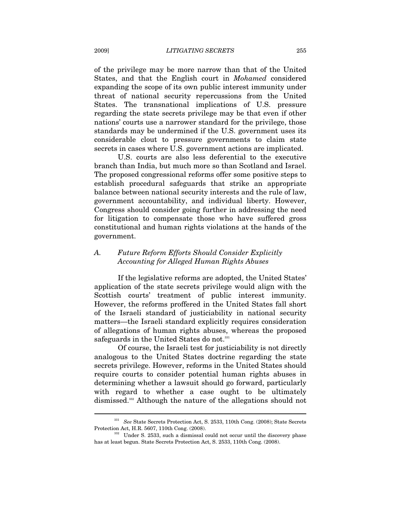of the privilege may be more narrow than that of the United States, and that the English court in *Mohamed* considered expanding the scope of its own public interest immunity under threat of national security repercussions from the United States. The transnational implications of U.S. pressure regarding the state secrets privilege may be that even if other nations' courts use a narrower standard for the privilege, those standards may be undermined if the U.S. government uses its considerable clout to pressure governments to claim state secrets in cases where U.S. government actions are implicated.

U.S. courts are also less deferential to the executive branch than India, but much more so than Scotland and Israel. The proposed congressional reforms offer some positive steps to establish procedural safeguards that strike an appropriate balance between national security interests and the rule of law, government accountability, and individual liberty. However, Congress should consider going further in addressing the need for litigation to compensate those who have suffered gross constitutional and human rights violations at the hands of the government.

# *A. Future Reform Efforts Should Consider Explicitly Accounting for Alleged Human Rights Abuses*

If the legislative reforms are adopted, the United States' application of the state secrets privilege would align with the Scottish courts' treatment of public interest immunity. However, the reforms proffered in the United States fall short of the Israeli standard of justiciability in national security matters—the Israeli standard explicitly requires consideration of allegations of human rights abuses, whereas the proposed safeguards in the United States do not.<sup>331</sup>

Of course, the Israeli test for justiciability is not directly analogous to the United States doctrine regarding the state secrets privilege. However, reforms in the United States should require courts to consider potential human rights abuses in determining whether a lawsuit should go forward, particularly with regard to whether a case ought to be ultimately dismissed.332 Although the nature of the allegations should not

<sup>&</sup>lt;sup>331</sup> See State Secrets Protection Act, S. 2533, 110th Cong. (2008); State Secrets Protection Act, H.R. 5607, 110th Cong. (2008).

 $^{332}\,$  Under S. 2533, such a dismissal could not occur until the discovery phase has at least begun. State Secrets Protection Act, S. 2533, 110th Cong. (2008).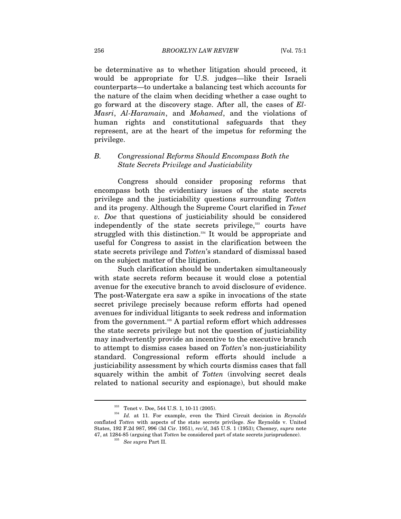be determinative as to whether litigation should proceed, it would be appropriate for U.S. judges—like their Israeli counterparts—to undertake a balancing test which accounts for the nature of the claim when deciding whether a case ought to go forward at the discovery stage. After all, the cases of *El-Masri*, *Al-Haramain*, and *Mohamed*, and the violations of human rights and constitutional safeguards that they represent, are at the heart of the impetus for reforming the privilege.

# *B. Congressional Reforms Should Encompass Both the State Secrets Privilege and Justiciability*

Congress should consider proposing reforms that encompass both the evidentiary issues of the state secrets privilege and the justiciability questions surrounding *Totten* and its progeny. Although the Supreme Court clarified in *Tenet v. Doe* that questions of justiciability should be considered independently of the state secrets privilege,<sup>333</sup> courts have struggled with this distinction.<sup>334</sup> It would be appropriate and useful for Congress to assist in the clarification between the state secrets privilege and *Totten*'s standard of dismissal based on the subject matter of the litigation.

Such clarification should be undertaken simultaneously with state secrets reform because it would close a potential avenue for the executive branch to avoid disclosure of evidence. The post-Watergate era saw a spike in invocations of the state secret privilege precisely because reform efforts had opened avenues for individual litigants to seek redress and information from the government.<sup>335</sup> A partial reform effort which addresses the state secrets privilege but not the question of justiciability may inadvertently provide an incentive to the executive branch to attempt to dismiss cases based on *Totten*'s non-justiciability standard. Congressional reform efforts should include a justiciability assessment by which courts dismiss cases that fall squarely within the ambit of *Totten* (involving secret deals related to national security and espionage), but should make

<sup>333</sup> Tenet v. Doe, 544 U.S. 1, 10-11 (2005). 334 *Id.* at 11. For example, even the Third Circuit decision in *Reynolds*  conflated *Totten* with aspects of the state secrets privilege. *See* Reynolds v. United States, 192 F.2d 987, 996 (3d Cir. 1951), *rev'd*, 345 U.S. 1 (1953); Chesney, *supra* note 47, at 1284-85 (arguing that *Totten* be considered part of state secrets jurisprudence). 335 *See supra* Part II.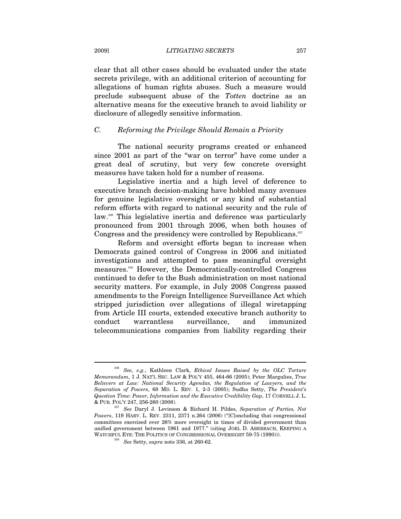clear that all other cases should be evaluated under the state secrets privilege, with an additional criterion of accounting for allegations of human rights abuses. Such a measure would preclude subsequent abuse of the *Totten* doctrine as an alternative means for the executive branch to avoid liability or disclosure of allegedly sensitive information.

## *C. Reforming the Privilege Should Remain a Priority*

The national security programs created or enhanced since 2001 as part of the "war on terror" have come under a great deal of scrutiny, but very few concrete oversight measures have taken hold for a number of reasons.

Legislative inertia and a high level of deference to executive branch decision-making have hobbled many avenues for genuine legislative oversight or any kind of substantial reform efforts with regard to national security and the rule of law.<sup>336</sup> This legislative inertia and deference was particularly pronounced from 2001 through 2006, when both houses of Congress and the presidency were controlled by Republicans.<sup>337</sup>

Reform and oversight efforts began to increase when Democrats gained control of Congress in 2006 and initiated investigations and attempted to pass meaningful oversight measures.338 However, the Democratically-controlled Congress continued to defer to the Bush administration on most national security matters. For example, in July 2008 Congress passed amendments to the Foreign Intelligence Surveillance Act which stripped jurisdiction over allegations of illegal wiretapping from Article III courts, extended executive branch authority to conduct warrantless surveillance, and immunized telecommunications companies from liability regarding their

<sup>336</sup> *See, e.g.*, Kathleen Clark, *Ethical Issues Raised by the OLC Torture Memorandum*, 1 J. NAT'L SEC. LAW & POL'Y 455, 464-66 (2005); Peter Margulies, *True Believers at Law: National Security Agendas, the Regulation of Lawyers, and the Separation of Powers*, 68 MD. L. REV. 1, 2-3 (2005); Sudha Setty, *The President's Question Time: Power, Information and the Executive Credibility Gap*, 17 CORNELL J. L.

<sup>&</sup>lt;sup>337</sup> See Daryl J. Levinson & Richard H. Pildes, Separation of Parties, Not *Powers*, 119 HARV. L. REV. 2311, 2371 n.264 (2006) ("[C]oncluding that congressional committees exercised over 26% more oversight in times of divided government than unified government between 1961 and 1977." (citing JOEL D. ABERBACH, KEEPING A WATCHFUL EYE: THE POLITICS OF CONGRESSIONAL OVERSIGHT 59-75 (1990))). 338 *See* Setty, *supra* note 336, at 260-62.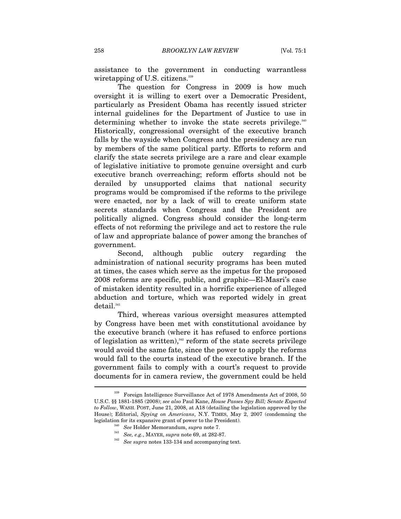assistance to the government in conducting warrantless wiretapping of U.S. citizens.<sup>339</sup>

The question for Congress in 2009 is how much oversight it is willing to exert over a Democratic President, particularly as President Obama has recently issued stricter internal guidelines for the Department of Justice to use in determining whether to invoke the state secrets privilege.<sup>340</sup> Historically, congressional oversight of the executive branch falls by the wayside when Congress and the presidency are run by members of the same political party. Efforts to reform and clarify the state secrets privilege are a rare and clear example of legislative initiative to promote genuine oversight and curb executive branch overreaching; reform efforts should not be derailed by unsupported claims that national security programs would be compromised if the reforms to the privilege were enacted, nor by a lack of will to create uniform state secrets standards when Congress and the President are politically aligned. Congress should consider the long-term effects of not reforming the privilege and act to restore the rule of law and appropriate balance of power among the branches of government.

Second, although public outcry regarding the administration of national security programs has been muted at times, the cases which serve as the impetus for the proposed 2008 reforms are specific, public, and graphic—El-Masri's case of mistaken identity resulted in a horrific experience of alleged abduction and torture, which was reported widely in great detail.<sup>341</sup>

Third, whereas various oversight measures attempted by Congress have been met with constitutional avoidance by the executive branch (where it has refused to enforce portions of legislation as written), $342$  reform of the state secrets privilege would avoid the same fate, since the power to apply the reforms would fall to the courts instead of the executive branch. If the government fails to comply with a court's request to provide documents for in camera review, the government could be held

<sup>339</sup> Foreign Intelligence Surveillance Act of 1978 Amendments Act of 2008, 50 U.S.C. §§ 1881-1885 (2008); *see also* Paul Kane, *House Passes Spy Bill; Senate Expected to Follow*, WASH. POST, June 21, 2008, at A18 (detailing the legislation approved by the House); Editorial, *Spying on Americans*, N.Y. TIMES, May 2, 2007 (condemning the legislation for its expansive grant of power to the President).<br><sup>340</sup> See Holder Memorandum, *supra* note 7.<br><sup>341</sup> See, e.g., MAYER, *supra* note 69, at 282-87.<br>See supra notes 133-134 and accompanying text.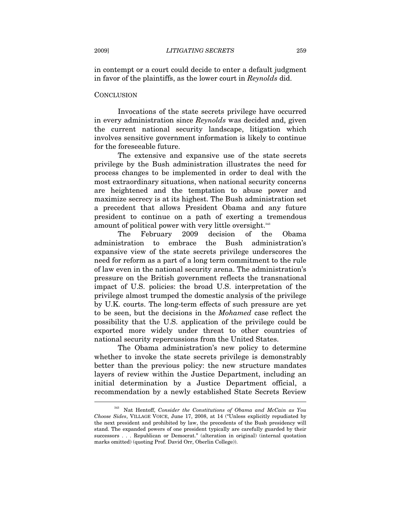in contempt or a court could decide to enter a default judgment in favor of the plaintiffs, as the lower court in *Reynolds* did.

#### **CONCLUSION**

Invocations of the state secrets privilege have occurred in every administration since *Reynolds* was decided and, given the current national security landscape, litigation which involves sensitive government information is likely to continue for the foreseeable future.

The extensive and expansive use of the state secrets privilege by the Bush administration illustrates the need for process changes to be implemented in order to deal with the most extraordinary situations, when national security concerns are heightened and the temptation to abuse power and maximize secrecy is at its highest. The Bush administration set a precedent that allows President Obama and any future president to continue on a path of exerting a tremendous amount of political power with very little oversight.<sup>343</sup>

The February 2009 decision of the Obama administration to embrace the Bush administration's expansive view of the state secrets privilege underscores the need for reform as a part of a long term commitment to the rule of law even in the national security arena. The administration's pressure on the British government reflects the transnational impact of U.S. policies: the broad U.S. interpretation of the privilege almost trumped the domestic analysis of the privilege by U.K. courts. The long-term effects of such pressure are yet to be seen, but the decisions in the *Mohamed* case reflect the possibility that the U.S. application of the privilege could be exported more widely under threat to other countries of national security repercussions from the United States.

The Obama administration's new policy to determine whether to invoke the state secrets privilege is demonstrably better than the previous policy: the new structure mandates layers of review within the Justice Department, including an initial determination by a Justice Department official, a recommendation by a newly established State Secrets Review

<sup>343</sup> Nat Hentoff, *Consider the Constitutions of Obama and McCain as You Choose Sides*, VILLAGE VOICE, June 17, 2008, at 14 ("Unless explicitly repudiated by the next president and prohibited by law, the precedents of the Bush presidency will stand. The expanded powers of one president typically are carefully guarded by their successors . . . Republican or Democrat." (alteration in original) (internal quotation marks omitted) (quoting Prof. David Orr, Oberlin College)).